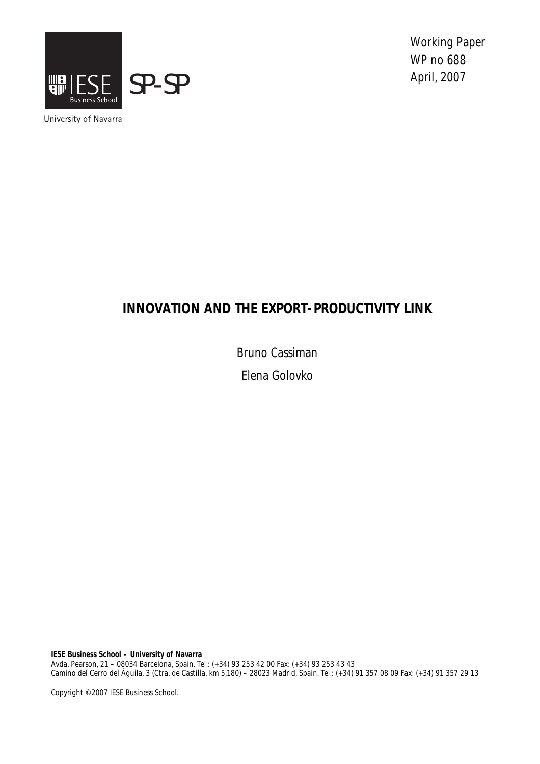

Working Paper WP no 688

University of Navarra

# **INNOVATION AND THE EXPORT-PRODUCTIVITY LINK**

Bruno Cassiman

Elena Golovko

**IESE Business School – University of Navarra**  Avda. Pearson, 21 – 08034 Barcelona, Spain. Tel.: (+34) 93 253 42 00 Fax: (+34) 93 253 43 43 Camino del Cerro del Águila, 3 (Ctra. de Castilla, km 5,180) – 28023 Madrid, Spain. Tel.: (+34) 91 357 08 09 Fax: (+34) 91 357 29 13

Copyright © 2007 IESE Business School.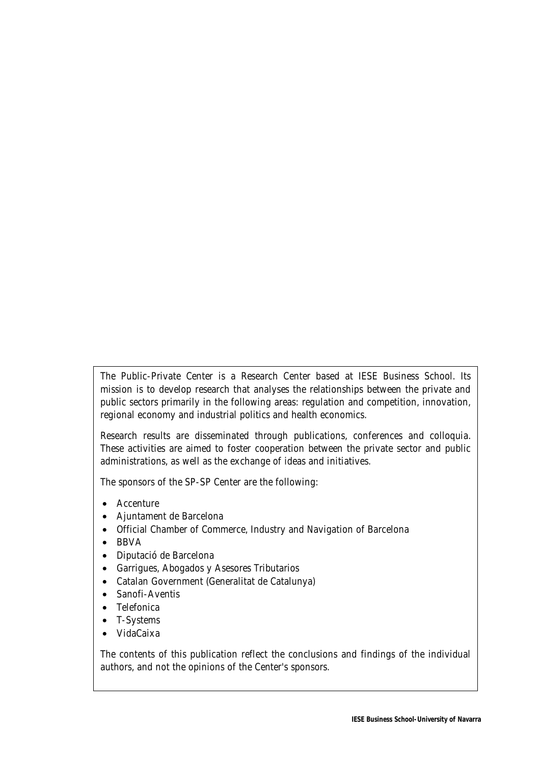The Public-Private Center is a Research Center based at IESE Business School. Its mission is to develop research that analyses the relationships between the private and public sectors primarily in the following areas: regulation and competition, innovation, regional economy and industrial politics and health economics.

Research results are disseminated through publications, conferences and colloquia. These activities are aimed to foster cooperation between the private sector and public administrations, as well as the exchange of ideas and initiatives.

The sponsors of the SP-SP Center are the following:

- Accenture
- Ajuntament de Barcelona
- Official Chamber of Commerce, Industry and Navigation of Barcelona
- BBVA
- Diputació de Barcelona
- Garrigues, Abogados y Asesores Tributarios
- Catalan Government (Generalitat de Catalunya)
- Sanofi-Aventis
- Telefonica
- T-Systems
- VidaCaixa

The contents of this publication reflect the conclusions and findings of the individual authors, and not the opinions of the Center's sponsors.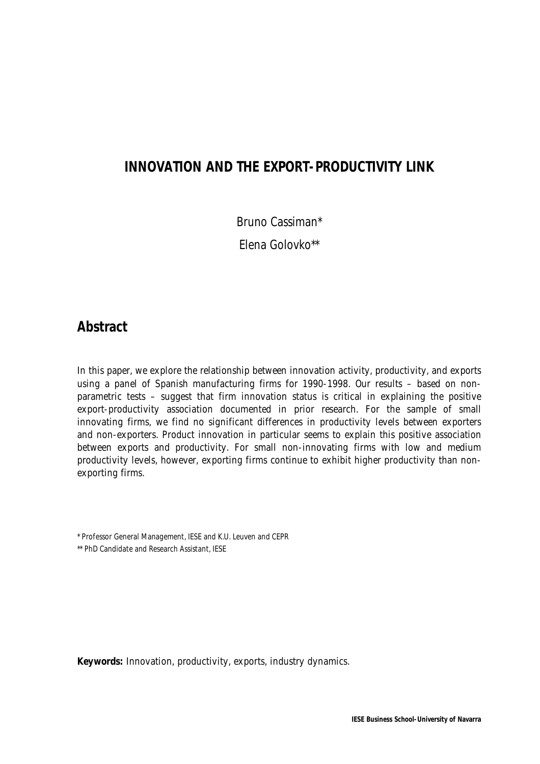# **INNOVATION AND THE EXPORT-PRODUCTIVITY LINK**

Bruno Cassiman\*

Elena Golovko\*\*

# **Abstract**

In this paper, we explore the relationship between innovation activity, productivity, and exports using a panel of Spanish manufacturing firms for 1990-1998. Our results – based on nonparametric tests – suggest that firm innovation status is critical in explaining the positive export-productivity association documented in prior research. For the sample of small innovating firms, we find no significant differences in productivity levels between exporters and non-exporters. Product innovation in particular seems to explain this positive association between exports and productivity. For small non-innovating firms with low and medium productivity levels, however, exporting firms continue to exhibit higher productivity than nonexporting firms.

\* Professor General Management, IESE and K.U. Leuven and CEPR

\*\* PhD Candidate and Research Assistant, IESE

**Keywords:** Innovation, productivity, exports, industry dynamics.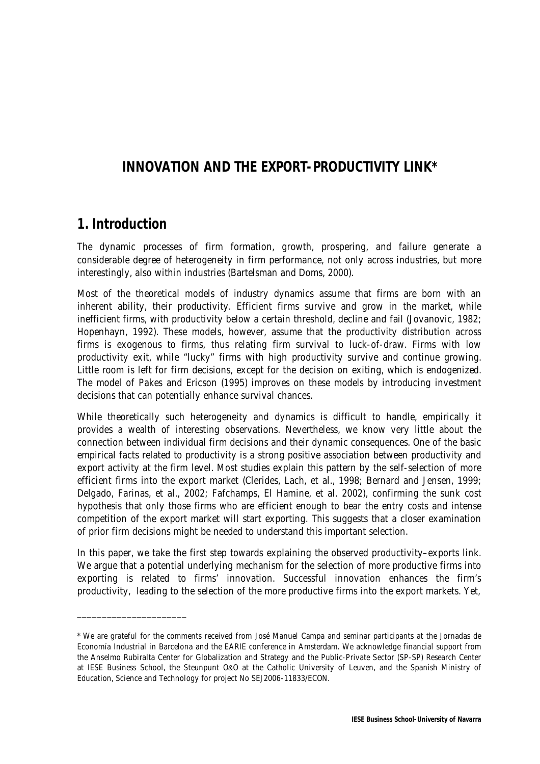# **INNOVATION AND THE EXPORT-PRODUCTIVITY LINK\***

# **1. Introduction**

\_\_\_\_\_\_\_\_\_\_\_\_\_\_\_\_\_\_\_\_\_\_

The dynamic processes of firm formation, growth, prospering, and failure generate a considerable degree of heterogeneity in firm performance, not only across industries, but more interestingly, also within industries (Bartelsman and Doms, 2000).

Most of the theoretical models of industry dynamics assume that firms are born with an inherent ability, their productivity. Efficient firms survive and grow in the market, while inefficient firms, with productivity below a certain threshold, decline and fail (Jovanovic, 1982; Hopenhayn, 1992). These models, however, assume that the productivity distribution across firms is exogenous to firms, thus relating firm survival to luck-of-draw. Firms with low productivity exit, while "lucky" firms with high productivity survive and continue growing. Little room is left for firm decisions, except for the decision on exiting, which is endogenized. The model of Pakes and Ericson (1995) improves on these models by introducing investment decisions that can potentially enhance survival chances.

While theoretically such heterogeneity and dynamics is difficult to handle, empirically it provides a wealth of interesting observations. Nevertheless, we know very little about the connection between individual firm decisions and their dynamic consequences. One of the basic empirical facts related to productivity is a strong positive association between productivity and export activity at the firm level. Most studies explain this pattern by the self-selection of more efficient firms into the export market (Clerides, Lach, et al., 1998; Bernard and Jensen, 1999; Delgado, Farinas, et al., 2002; Fafchamps, El Hamine, et al. 2002), confirming the sunk cost hypothesis that only those firms who are efficient enough to bear the entry costs and intense competition of the export market will start exporting. This suggests that a closer examination of prior firm decisions might be needed to understand this important selection.

In this paper, we take the first step towards explaining the observed productivity–exports link. We argue that a potential underlying mechanism for the selection of more productive firms into exporting is related to firms' innovation. Successful innovation enhances the firm's productivity, leading to the selection of the more productive firms into the export markets. Yet,

<sup>\*</sup> We are grateful for the comments received from José Manuel Campa and seminar participants at the Jornadas de Economía Industrial in Barcelona and the EARIE conference in Amsterdam. We acknowledge financial support from the Anselmo Rubiralta Center for Globalization and Strategy and the Public-Private Sector (SP-SP) Research Center at IESE Business School, the Steunpunt O&O at the Catholic University of Leuven, and the Spanish Ministry of Education, Science and Technology for project No SEJ2006-11833/ECON.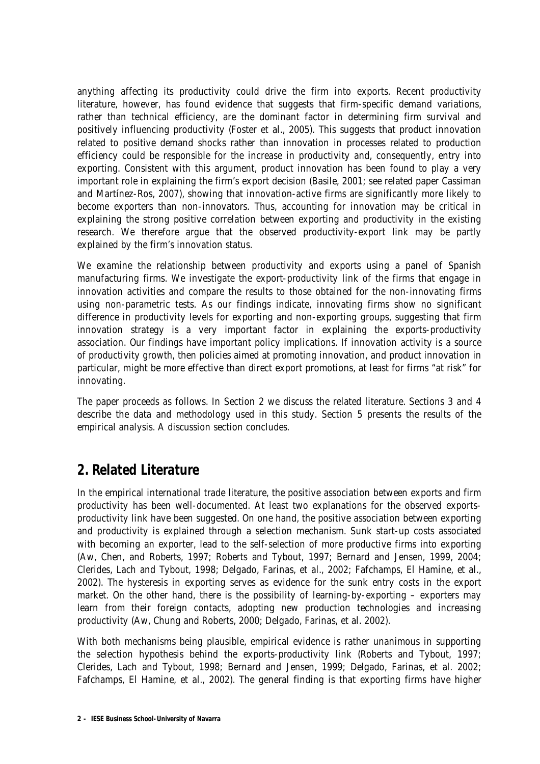anything affecting its productivity could drive the firm into exports. Recent productivity literature, however, has found evidence that suggests that firm-specific demand variations, rather than technical efficiency, are the dominant factor in determining firm survival and positively influencing productivity (Foster et al., 2005). This suggests that product innovation related to positive demand shocks rather than innovation in processes related to production efficiency could be responsible for the increase in productivity and, consequently, entry into exporting. Consistent with this argument, product innovation has been found to play a very important role in explaining the firm's export decision (Basile, 2001; see related paper Cassiman and Martínez-Ros, 2007), showing that innovation-active firms are significantly more likely to become exporters than non-innovators. Thus, accounting for innovation may be critical in explaining the strong positive correlation between exporting and productivity in the existing research. We therefore argue that the observed productivity-export link may be partly explained by the firm's innovation status.

We examine the relationship between productivity and exports using a panel of Spanish manufacturing firms. We investigate the export-productivity link of the firms that engage in innovation activities and compare the results to those obtained for the non-innovating firms using non-parametric tests. As our findings indicate, innovating firms show no significant difference in productivity levels for exporting and non-exporting groups, suggesting that firm innovation strategy is a very important factor in explaining the exports-productivity association. Our findings have important policy implications. If innovation activity is a source of productivity growth, then policies aimed at promoting innovation, and product innovation in particular, might be more effective than direct export promotions, at least for firms "at risk" for innovating.

The paper proceeds as follows. In Section 2 we discuss the related literature. Sections 3 and 4 describe the data and methodology used in this study. Section 5 presents the results of the empirical analysis. A discussion section concludes.

# **2. Related Literature**

In the empirical international trade literature, the positive association between exports and firm productivity has been well-documented. At least two explanations for the observed exportsproductivity link have been suggested. On one hand, the positive association between exporting and productivity is explained through a selection mechanism. Sunk start-up costs associated with becoming an exporter, lead to the self-selection of more productive firms into exporting (Aw, Chen, and Roberts, 1997; Roberts and Tybout, 1997; Bernard and Jensen, 1999, 2004; Clerides, Lach and Tybout, 1998; Delgado, Farinas, et al., 2002; Fafchamps, El Hamine, et al., 2002). The hysteresis in exporting serves as evidence for the sunk entry costs in the export market. On the other hand, there is the possibility of learning-by-exporting – exporters may learn from their foreign contacts, adopting new production technologies and increasing productivity (Aw, Chung and Roberts, 2000; Delgado, Farinas, et al. 2002).

With both mechanisms being plausible, empirical evidence is rather unanimous in supporting the selection hypothesis behind the exports-productivity link (Roberts and Tybout, 1997; Clerides, Lach and Tybout, 1998; Bernard and Jensen, 1999; Delgado, Farinas, et al. 2002; Fafchamps, El Hamine, et al., 2002). The general finding is that exporting firms have higher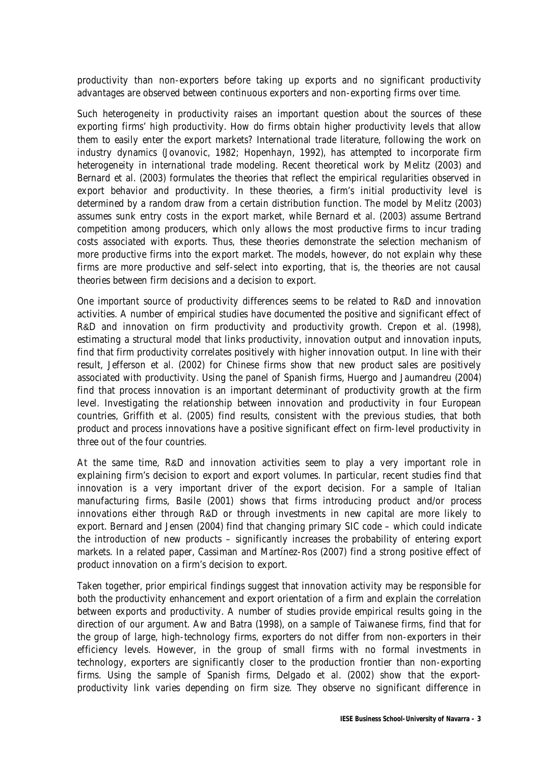productivity than non-exporters before taking up exports and no significant productivity advantages are observed between continuous exporters and non-exporting firms over time.

Such heterogeneity in productivity raises an important question about the sources of these exporting firms' high productivity. How do firms obtain higher productivity levels that allow them to easily enter the export markets? International trade literature, following the work on industry dynamics (Jovanovic, 1982; Hopenhayn, 1992), has attempted to incorporate firm heterogeneity in international trade modeling. Recent theoretical work by Melitz (2003) and Bernard et al. (2003) formulates the theories that reflect the empirical regularities observed in export behavior and productivity. In these theories, a firm's initial productivity level is determined by a random draw from a certain distribution function. The model by Melitz (2003) assumes sunk entry costs in the export market, while Bernard et al. (2003) assume Bertrand competition among producers, which only allows the most productive firms to incur trading costs associated with exports. Thus, these theories demonstrate the selection mechanism of more productive firms into the export market. The models, however, do not explain why these firms are more productive and self-select into exporting, that is, the theories are not causal theories between firm decisions and a decision to export.

One important source of productivity differences seems to be related to R&D and innovation activities. A number of empirical studies have documented the positive and significant effect of R&D and innovation on firm productivity and productivity growth. Crepon et al. (1998), estimating a structural model that links productivity, innovation output and innovation inputs, find that firm productivity correlates positively with higher innovation output. In line with their result, Jefferson et al. (2002) for Chinese firms show that new product sales are positively associated with productivity. Using the panel of Spanish firms, Huergo and Jaumandreu (2004) find that process innovation is an important determinant of productivity growth at the firm level. Investigating the relationship between innovation and productivity in four European countries, Griffith et al. (2005) find results, consistent with the previous studies, that both product and process innovations have a positive significant effect on firm-level productivity in three out of the four countries.

At the same time, R&D and innovation activities seem to play a very important role in explaining firm's decision to export and export volumes. In particular, recent studies find that innovation is a very important driver of the export decision. For a sample of Italian manufacturing firms, Basile (2001) shows that firms introducing product and/or process innovations either through R&D or through investments in new capital are more likely to export. Bernard and Jensen (2004) find that changing primary SIC code – which could indicate the introduction of new products – significantly increases the probability of entering export markets. In a related paper, Cassiman and Martínez-Ros (2007) find a strong positive effect of product innovation on a firm's decision to export.

Taken together, prior empirical findings suggest that innovation activity may be responsible for both the productivity enhancement and export orientation of a firm and explain the correlation between exports and productivity. A number of studies provide empirical results going in the direction of our argument. Aw and Batra (1998), on a sample of Taiwanese firms, find that for the group of large, high-technology firms, exporters do not differ from non-exporters in their efficiency levels. However, in the group of small firms with no formal investments in technology, exporters are significantly closer to the production frontier than non-exporting firms. Using the sample of Spanish firms, Delgado et al. (2002) show that the exportproductivity link varies depending on firm size. They observe no significant difference in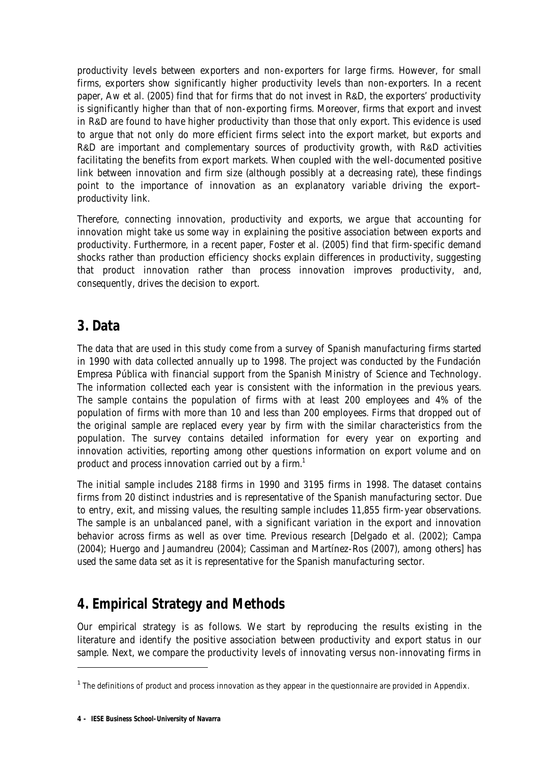productivity levels between exporters and non-exporters for large firms. However, for small firms, exporters show significantly higher productivity levels than non-exporters. In a recent paper, Aw et al. (2005) find that for firms that do not invest in R&D, the exporters' productivity is significantly higher than that of non-exporting firms. Moreover, firms that export and invest in R&D are found to have higher productivity than those that only export. This evidence is used to argue that not only do more efficient firms select into the export market, but exports and R&D are important and complementary sources of productivity growth, with R&D activities facilitating the benefits from export markets. When coupled with the well-documented positive link between innovation and firm size (although possibly at a decreasing rate), these findings point to the importance of innovation as an explanatory variable driving the export– productivity link.

Therefore, connecting innovation, productivity and exports, we argue that accounting for innovation might take us some way in explaining the positive association between exports and productivity. Furthermore, in a recent paper, Foster et al. (2005) find that firm-specific demand shocks rather than production efficiency shocks explain differences in productivity, suggesting that product innovation rather than process innovation improves productivity, and, consequently, drives the decision to export.

# **3. Data**

The data that are used in this study come from a survey of Spanish manufacturing firms started in 1990 with data collected annually up to 1998. The project was conducted by the Fundación Empresa Pública with financial support from the Spanish Ministry of Science and Technology. The information collected each year is consistent with the information in the previous years. The sample contains the population of firms with at least 200 employees and 4% of the population of firms with more than 10 and less than 200 employees. Firms that dropped out of the original sample are replaced every year by firm with the similar characteristics from the population. The survey contains detailed information for every year on exporting and innovation activities, reporting among other questions information on export volume and on product and process innovation carried out by a firm. $^1$ 

The initial sample includes 2188 firms in 1990 and 3195 firms in 1998. The dataset contains firms from 20 distinct industries and is representative of the Spanish manufacturing sector. Due to entry, exit, and missing values, the resulting sample includes 11,855 firm-year observations. The sample is an unbalanced panel, with a significant variation in the export and innovation behavior across firms as well as over time. Previous research [Delgado et al. (2002); Campa (2004); Huergo and Jaumandreu (2004); Cassiman and Martínez-Ros (2007), among others] has used the same data set as it is representative for the Spanish manufacturing sector.

# **4. Empirical Strategy and Methods**

Our empirical strategy is as follows. We start by reproducing the results existing in the literature and identify the positive association between productivity and export status in our sample. Next, we compare the productivity levels of innovating versus non-innovating firms in

-

 $1$  The definitions of product and process innovation as they appear in the questionnaire are provided in Appendix.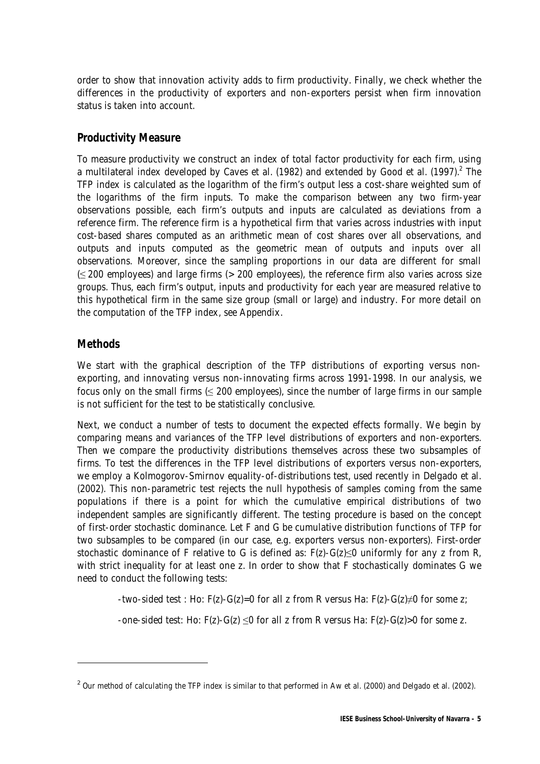order to show that innovation activity adds to firm productivity. Finally, we check whether the differences in the productivity of exporters and non-exporters persist when firm innovation status is taken into account.

### **Productivity Measure**

To measure productivity we construct an index of total factor productivity for each firm, using a multilateral index developed by Caves et al. (1982) and extended by Good et al. (1997).<sup>2</sup> The TFP index is calculated as the logarithm of the firm's output less a cost-share weighted sum of the logarithms of the firm inputs. To make the comparison between any two firm-year observations possible, each firm's outputs and inputs are calculated as deviations from a reference firm. The reference firm is a hypothetical firm that varies across industries with input cost-based shares computed as an arithmetic mean of cost shares over all observations, and outputs and inputs computed as the geometric mean of outputs and inputs over all observations. Moreover, since the sampling proportions in our data are different for small (≤ 200 employees) and large firms (> 200 employees), the reference firm also varies across size groups. Thus, each firm's output, inputs and productivity for each year are measured relative to this hypothetical firm in the same size group (small or large) and industry. For more detail on the computation of the TFP index, see Appendix.

### **Methods**

 $\overline{a}$ 

We start with the graphical description of the TFP distributions of exporting versus nonexporting, and innovating versus non-innovating firms across 1991-1998. In our analysis, we focus only on the small firms  $( \leq 200 \text{ employees})$ , since the number of large firms in our sample is not sufficient for the test to be statistically conclusive.

Next, we conduct a number of tests to document the expected effects formally. We begin by comparing means and variances of the TFP level distributions of exporters and non-exporters. Then we compare the productivity distributions themselves across these two subsamples of firms. To test the differences in the TFP level distributions of exporters versus non-exporters, we employ a Kolmogorov-Smirnov equality-of-distributions test, used recently in Delgado et al. (2002). This non-parametric test rejects the null hypothesis of samples coming from the same populations if there is a point for which the cumulative empirical distributions of two independent samples are significantly different. The testing procedure is based on the concept of first-order stochastic dominance. Let F and G be cumulative distribution functions of TFP for two subsamples to be compared (in our case, e.g. exporters versus non-exporters). First-order stochastic dominance of F relative to G is defined as:  $F(z)$ -G( $z$ ) $\leq$ 0 uniformly for any z from R, with strict inequality for at least one z. In order to show that F stochastically dominates G we need to conduct the following tests:

-two-sided test : Ho: F(z)-G(z)=0 for all z from R versus Ha: F(z)-G(z) $\neq$ 0 for some z;

-one-sided test: Ho:  $F(z)$ -G(z)  $\leq 0$  for all z from R versus Ha:  $F(z)$ -G(z) > 0 for some z.

 $2$  Our method of calculating the TFP index is similar to that performed in Aw et al. (2000) and Delgado et al. (2002).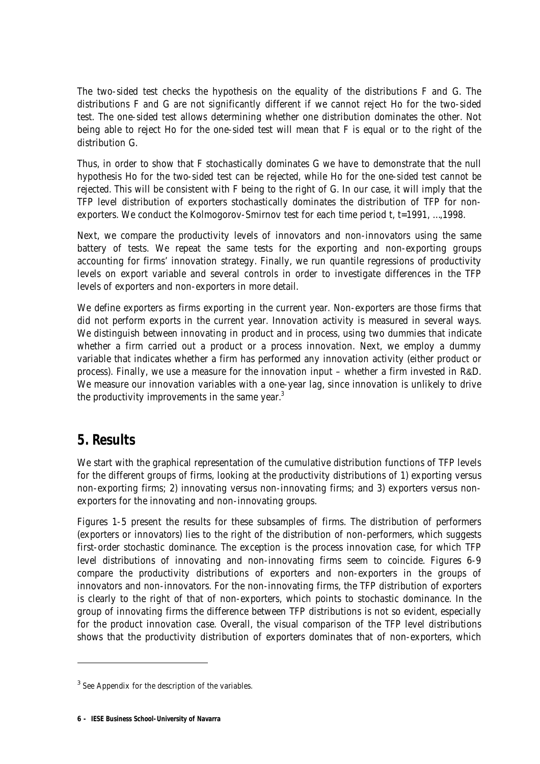The two-sided test checks the hypothesis on the equality of the distributions F and G. The distributions F and G are not significantly different if we cannot reject Ho for the two-sided test. The one-sided test allows determining whether one distribution dominates the other. Not being able to reject Ho for the one-sided test will mean that F is equal or to the right of the distribution G.

Thus, in order to show that F stochastically dominates G we have to demonstrate that the null hypothesis Ho for the *two-sided test can be rejected*, while Ho for the *one-sided test cannot be rejected*. This will be consistent with F being to the right of G. In our case, it will imply that the TFP level distribution of exporters stochastically dominates the distribution of TFP for nonexporters. We conduct the Kolmogorov-Smirnov test for each time period t, t=1991, ..., 1998.

Next, we compare the productivity levels of innovators and non-innovators using the same battery of tests. We repeat the same tests for the exporting and non-exporting groups accounting for firms' innovation strategy. Finally, we run quantile regressions of productivity levels on export variable and several controls in order to investigate differences in the TFP levels of exporters and non-exporters in more detail.

We define exporters as firms exporting in the current year. Non-exporters are those firms that did not perform exports in the current year. Innovation activity is measured in several ways. We distinguish between innovating in product and in process, using two dummies that indicate whether a firm carried out a product or a process innovation. Next, we employ a dummy variable that indicates whether a firm has performed any innovation activity (either product or process). Finally, we use a measure for the innovation input – whether a firm invested in R&D. We measure our innovation variables with a one-vear lag, since innovation is unlikely to drive the productivity improvements in the same year. $3$ 

# **5. Results**

 $\overline{a}$ 

We start with the graphical representation of the cumulative distribution functions of TFP levels for the different groups of firms, looking at the productivity distributions of 1) exporting versus non-exporting firms; 2) innovating versus non-innovating firms; and 3) exporters versus nonexporters for the innovating and non-innovating groups.

Figures 1-5 present the results for these subsamples of firms. The distribution of performers (exporters or innovators) lies to the right of the distribution of non-performers, which suggests first-order stochastic dominance. The exception is the process innovation case, for which TFP level distributions of innovating and non-innovating firms seem to coincide. Figures 6-9 compare the productivity distributions of exporters and non-exporters in the groups of innovators and non-innovators. For the non-innovating firms, the TFP distribution of exporters is clearly to the right of that of non-exporters, which points to stochastic dominance. In the group of innovating firms the difference between TFP distributions is not so evident, especially for the product innovation case. Overall, the visual comparison of the TFP level distributions shows that the productivity distribution of exporters dominates that of non-exporters, which

<sup>&</sup>lt;sup>3</sup> See Appendix for the description of the variables.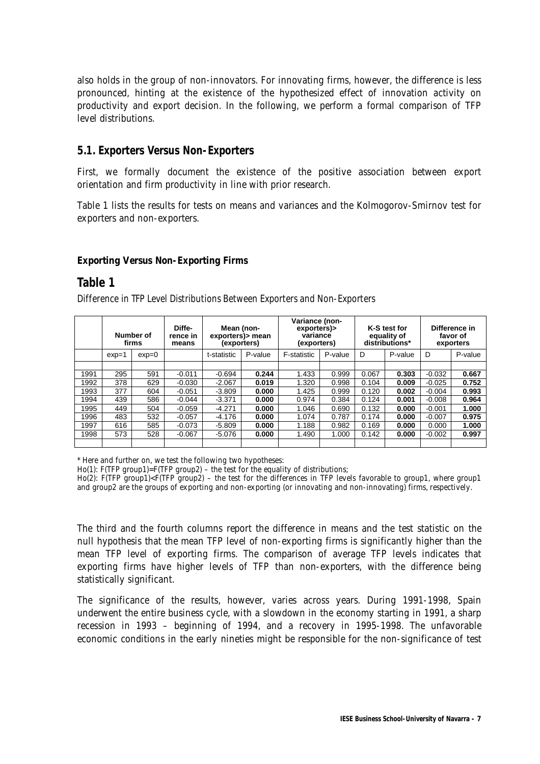also holds in the group of non-innovators. For innovating firms, however, the difference is less pronounced, hinting at the existence of the hypothesized effect of innovation activity on productivity and export decision. In the following, we perform a formal comparison of TFP level distributions.

### **5.1. Exporters Versus Non-Exporters**

First, we formally document the existence of the positive association between export orientation and firm productivity in line with prior research.

Table 1 lists the results for tests on means and variances and the Kolmogorov-Smirnov test for exporters and non-exporters.

#### **Exporting Versus Non-Exporting Firms**

### **Table 1**

Difference in TFP Level Distributions Between Exporters and Non-Exporters

|      |         | Number of<br>firms | Diffe-<br>rence in<br>means | Mean (non-<br>exporters) > mean<br>(exporters) |         | Variance (non-<br>exporters)><br>variance<br>(exporters) |         |       | K-S test for<br>equality of<br>distributions* |          | Difference in<br>favor of<br>exporters |
|------|---------|--------------------|-----------------------------|------------------------------------------------|---------|----------------------------------------------------------|---------|-------|-----------------------------------------------|----------|----------------------------------------|
|      | $exp=1$ | $exp=0$            |                             | t-statistic                                    | P-value | F-statistic                                              | P-value | D     | P-value                                       | D        | P-value                                |
|      |         |                    |                             |                                                |         |                                                          |         |       |                                               |          |                                        |
| 1991 | 295     | 591                | $-0.011$                    | $-0.694$                                       | 0.244   | 1.433                                                    | 0.999   | 0.067 | 0.303                                         | $-0.032$ | 0.667                                  |
| 1992 | 378     | 629                | $-0.030$                    | $-2.067$                                       | 0.019   | 1.320                                                    | 0.998   | 0.104 | 0.009                                         | $-0.025$ | 0.752                                  |
| 1993 | 377     | 604                | $-0.051$                    | $-3.809$                                       | 0.000   | 1.425                                                    | 0.999   | 0.120 | 0.002                                         | $-0.004$ | 0.993                                  |
| 1994 | 439     | 586                | $-0.044$                    | $-3.371$                                       | 0.000   | 0.974                                                    | 0.384   | 0.124 | 0.001                                         | $-0.008$ | 0.964                                  |
| 1995 | 449     | 504                | $-0.059$                    | $-4.271$                                       | 0.000   | 1.046                                                    | 0.690   | 0.132 | 0.000                                         | $-0.001$ | 1.000                                  |
| 1996 | 483     | 532                | $-0.057$                    | $-4.176$                                       | 0.000   | 1.074                                                    | 0.787   | 0.174 | 0.000                                         | $-0.007$ | 0.975                                  |
| 1997 | 616     | 585                | $-0.073$                    | $-5.809$                                       | 0.000   | 1.188                                                    | 0.982   | 0.169 | 0.000                                         | 0.000    | 1.000                                  |
| 1998 | 573     | 528                | $-0.067$                    | $-5.076$                                       | 0.000   | 1.490                                                    | 1.000   | 0.142 | 0.000                                         | $-0.002$ | 0.997                                  |
|      |         |                    |                             |                                                |         |                                                          |         |       |                                               |          |                                        |

\* Here and further on, we test the following two hypotheses:

Ho(1): F(TFP group1)=F(TFP group2) – the test for the equality of distributions;

Ho(2): F(TFP group1)<F(TFP group2) – the test for the differences in TFP levels favorable to group1, where group1 and group2 are the groups of exporting and non-exporting (or innovating and non-innovating) firms, respectively.

The third and the fourth columns report the difference in means and the test statistic on the null hypothesis that the mean TFP level of non-exporting firms is significantly higher than the mean TFP level of exporting firms. The comparison of average TFP levels indicates that exporting firms have higher levels of TFP than non-exporters, with the difference being statistically significant.

The significance of the results, however, varies across years. During 1991-1998, Spain underwent the entire business cycle, with a slowdown in the economy starting in 1991, a sharp recession in 1993 – beginning of 1994, and a recovery in 1995-1998. The unfavorable economic conditions in the early nineties might be responsible for the non-significance of test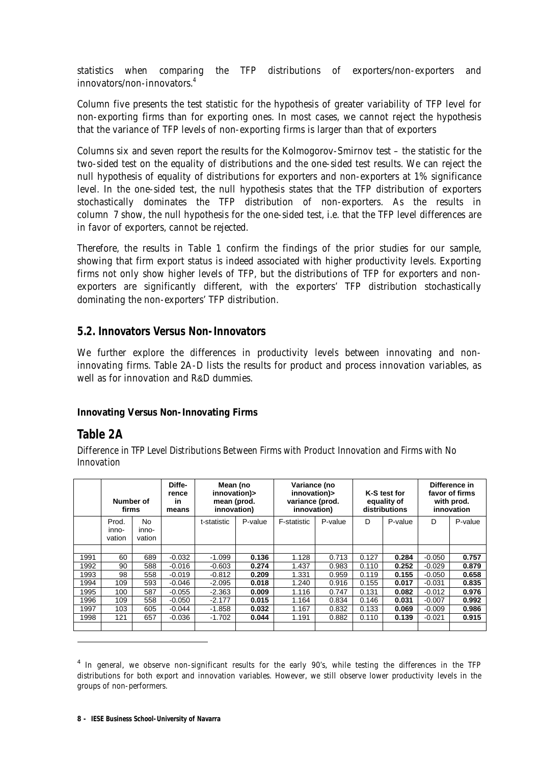statistics when comparing the TFP distributions of exporters/non-exporters and innovators/non-innovators.4

Column five presents the test statistic for the hypothesis of greater variability of TFP level for non-exporting firms than for exporting ones. In most cases, we cannot reject the hypothesis that the variance of TFP levels of non-exporting firms is larger than that of exporters

Columns six and seven report the results for the Kolmogorov-Smirnov test – the statistic for the two-sided test on the equality of distributions and the one-sided test results. We can reject the null hypothesis of equality of distributions for exporters and non-exporters at 1% significance level. In the one-sided test, the null hypothesis states that the TFP distribution of exporters stochastically dominates the TFP distribution of non-exporters. As the results in column 7 show, the null hypothesis for the one-sided test, i.e. that the TFP level differences are in favor of exporters, cannot be rejected.

Therefore, the results in Table 1 confirm the findings of the prior studies for our sample, showing that firm export status is indeed associated with higher productivity levels. Exporting firms not only show higher levels of TFP, but the distributions of TFP for exporters and nonexporters are significantly different, with the exporters' TFP distribution stochastically dominating the non-exporters' TFP distribution.

#### **5.2. Innovators Versus Non-Innovators**

We further explore the differences in productivity levels between innovating and noninnovating firms. Table 2A-D lists the results for product and process innovation variables, as well as for innovation and R&D dummies.

#### **Innovating Versus Non-Innovating Firms**

### **Table 2A**

j

Difference in TFP Level Distributions Between Firms with Product Innovation and Firms with No Innovation

|      | Number of<br>firms       |                        | Diffe-<br>rence<br>in<br>means | Mean (no<br>innovation)><br>mean (prod.<br>innovation) |         | Variance (no<br>innovation)><br>variance (prod.<br>innovation) |         |       | K-S test for<br>equality of<br>distributions |          | Difference in<br>favor of firms<br>with prod.<br>innovation |
|------|--------------------------|------------------------|--------------------------------|--------------------------------------------------------|---------|----------------------------------------------------------------|---------|-------|----------------------------------------------|----------|-------------------------------------------------------------|
|      | Prod.<br>inno-<br>vation | No.<br>inno-<br>vation |                                | t-statistic                                            | P-value | F-statistic                                                    | P-value | D     | P-value                                      | D        | P-value                                                     |
|      |                          |                        |                                |                                                        |         |                                                                |         |       |                                              |          |                                                             |
| 1991 | 60                       | 689                    | $-0.032$                       | $-1.099$                                               | 0.136   | 1.128                                                          | 0.713   | 0.127 | 0.284                                        | $-0.050$ | 0.757                                                       |
| 1992 | 90                       | 588                    | $-0.016$                       | $-0.603$                                               | 0.274   | 1.437                                                          | 0.983   | 0.110 | 0.252                                        | $-0.029$ | 0.879                                                       |
| 1993 | 98                       | 558                    | $-0.019$                       | $-0.812$                                               | 0.209   | 1.331                                                          | 0.959   | 0.119 | 0.155                                        | $-0.050$ | 0.658                                                       |
| 1994 | 109                      | 593                    | $-0.046$                       | $-2.095$                                               | 0.018   | 1.240                                                          | 0.916   | 0.155 | 0.017                                        | $-0.031$ | 0.835                                                       |
| 1995 | 100                      | 587                    | $-0.055$                       | $-2.363$                                               | 0.009   | 1.116                                                          | 0.747   | 0.131 | 0.082                                        | $-0.012$ | 0.976                                                       |
| 1996 | 109                      | 558                    | $-0.050$                       | $-2.177$                                               | 0.015   | 1.164                                                          | 0.834   | 0.146 | 0.031                                        | $-0.007$ | 0.992                                                       |
| 1997 | 103                      | 605                    | $-0.044$                       | $-1.858$                                               | 0.032   | 1.167                                                          | 0.832   | 0.133 | 0.069                                        | $-0.009$ | 0.986                                                       |
| 1998 | 121                      | 657                    | $-0.036$                       | $-1.702$                                               | 0.044   | 1.191                                                          | 0.882   | 0.110 | 0.139                                        | $-0.021$ | 0.915                                                       |
|      |                          |                        |                                |                                                        |         |                                                                |         |       |                                              |          |                                                             |

<sup>&</sup>lt;sup>4</sup> In general, we observe non-significant results for the early 90's, while testing the differences in the TFP distributions for both export and innovation variables. However, we still observe lower productivity levels in the groups of non-performers.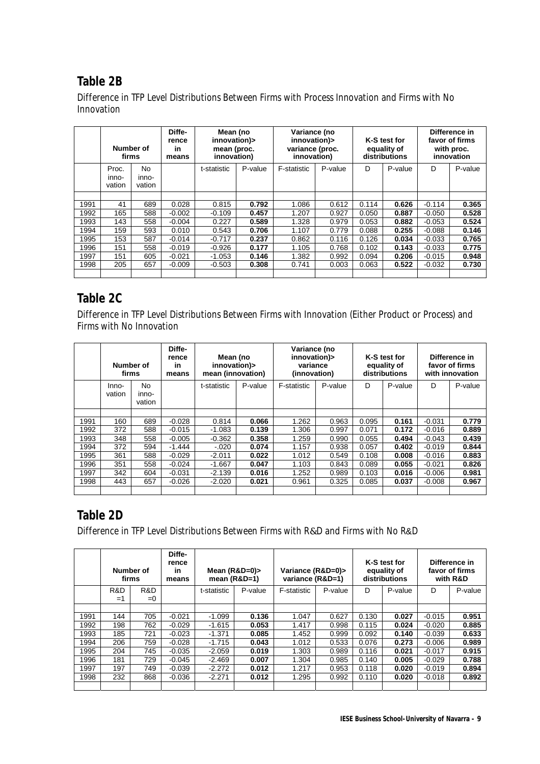# **Table 2B**

Difference in TFP Level Distributions Between Firms with Process Innovation and Firms with No Innovation

|      | Number of<br>firms       |                        | Diffe-<br>rence<br>in<br>means | Mean (no<br>innovation)><br>mean (proc.<br>innovation) |         | Variance (no<br>innovation)><br>variance (proc.<br>innovation) |         |       | K-S test for<br>equality of<br>distributions |          | Difference in<br>favor of firms<br>with proc.<br>innovation |
|------|--------------------------|------------------------|--------------------------------|--------------------------------------------------------|---------|----------------------------------------------------------------|---------|-------|----------------------------------------------|----------|-------------------------------------------------------------|
|      | Proc.<br>inno-<br>vation | No.<br>inno-<br>vation |                                | t-statistic                                            | P-value | F-statistic                                                    | P-value | D     | P-value                                      | D        | P-value                                                     |
|      |                          |                        |                                |                                                        |         |                                                                |         |       |                                              |          |                                                             |
| 1991 | 41                       | 689                    | 0.028                          | 0.815                                                  | 0.792   | 1.086                                                          | 0.612   | 0.114 | 0.626                                        | $-0.114$ | 0.365                                                       |
| 1992 | 165                      | 588                    | $-0.002$                       | $-0.109$                                               | 0.457   | 1.207                                                          | 0.927   | 0.050 | 0.887                                        | $-0.050$ | 0.528                                                       |
| 1993 | 143                      | 558                    | $-0.004$                       | 0.227                                                  | 0.589   | 1.328                                                          | 0.979   | 0.053 | 0.882                                        | $-0.053$ | 0.524                                                       |
| 1994 | 159                      | 593                    | 0.010                          | 0.543                                                  | 0.706   | 1.107                                                          | 0.779   | 0.088 | 0.255                                        | $-0.088$ | 0.146                                                       |
| 1995 | 153                      | 587                    | $-0.014$                       | $-0.717$                                               | 0.237   | 0.862                                                          | 0.116   | 0.126 | 0.034                                        | $-0.033$ | 0.765                                                       |
| 1996 | 151                      | 558                    | $-0.019$                       | $-0.926$                                               | 0.177   | 1.105                                                          | 0.768   | 0.102 | 0.143                                        | $-0.033$ | 0.775                                                       |
| 1997 | 151                      | 605                    | $-0.021$                       | $-1.053$                                               | 0.146   | 1.382                                                          | 0.992   | 0.094 | 0.206                                        | $-0.015$ | 0.948                                                       |
| 1998 | 205                      | 657                    | $-0.009$                       | $-0.503$                                               | 0.308   | 0.741                                                          | 0.003   | 0.063 | 0.522                                        | $-0.032$ | 0.730                                                       |
|      |                          |                        |                                |                                                        |         |                                                                |         |       |                                              |          |                                                             |

# **Table 2C**

Difference in TFP Level Distributions Between Firms with Innovation (Either Product or Process) and Firms with No Innovation

|      | Number of<br>firms |                        | Diffe-<br>rence<br>in<br>means | Mean (no<br>innovation)><br>mean (innovation) |         | Variance (no<br>innovation)><br>variance<br>(innovation) |         |       | K-S test for<br>equality of<br>distributions |          | Difference in<br>favor of firms<br>with innovation |
|------|--------------------|------------------------|--------------------------------|-----------------------------------------------|---------|----------------------------------------------------------|---------|-------|----------------------------------------------|----------|----------------------------------------------------|
|      | $Inno-$<br>vation  | No.<br>inno-<br>vation |                                | t-statistic                                   | P-value | F-statistic                                              | P-value | D     | P-value                                      | D        | P-value                                            |
|      |                    |                        |                                |                                               |         |                                                          |         |       |                                              |          |                                                    |
| 1991 | 160                | 689                    | $-0.028$                       | 0.814                                         | 0.066   | 1.262                                                    | 0.963   | 0.095 | 0.161                                        | $-0.031$ | 0.779                                              |
| 1992 | 372                | 588                    | $-0.015$                       | $-1.083$                                      | 0.139   | 1.306                                                    | 0.997   | 0.071 | 0.172                                        | $-0.016$ | 0.889                                              |
| 1993 | 348                | 558                    | $-0.005$                       | $-0.362$                                      | 0.358   | 1.259                                                    | 0.990   | 0.055 | 0.494                                        | $-0.043$ | 0.439                                              |
| 1994 | 372                | 594                    | $-1.444$                       | $-.020$                                       | 0.074   | 1.157                                                    | 0.938   | 0.057 | 0.402                                        | $-0.019$ | 0.844                                              |
| 1995 | 361                | 588                    | $-0.029$                       | $-2.011$                                      | 0.022   | 1.012                                                    | 0.549   | 0.108 | 0.008                                        | $-0.016$ | 0.883                                              |
| 1996 | 351                | 558                    | $-0.024$                       | $-1.667$                                      | 0.047   | 1.103                                                    | 0.843   | 0.089 | 0.055                                        | $-0.021$ | 0.826                                              |
| 1997 | 342                | 604                    | $-0.031$                       | $-2.139$                                      | 0.016   | 1.252                                                    | 0.989   | 0.103 | 0.016                                        | $-0.006$ | 0.981                                              |
| 1998 | 443                | 657                    | $-0.026$                       | $-2.020$                                      | 0.021   | 0.961                                                    | 0.325   | 0.085 | 0.037                                        | $-0.008$ | 0.967                                              |
|      |                    |                        |                                |                                               |         |                                                          |         |       |                                              |          |                                                    |

# **Table 2D**

Difference in TFP Level Distributions Between Firms with R&D and Firms with No R&D

|      |           | Number of<br>firms | Diffe-<br>rence<br>in<br>means | Mean $(R&D=0)$<br>mean $(R&D=1)$ |         | Variance (R&D=0)><br>variance (R&D=1) |         |       | K-S test for<br>equality of<br>distributions |          | Difference in<br>favor of firms<br>with R&D |
|------|-----------|--------------------|--------------------------------|----------------------------------|---------|---------------------------------------|---------|-------|----------------------------------------------|----------|---------------------------------------------|
|      | R&D<br>=1 | R&D<br>$= 0$       |                                | t-statistic                      | P-value | F-statistic                           | P-value | D     | P-value                                      | D        | P-value                                     |
|      |           |                    |                                |                                  |         |                                       |         |       |                                              |          |                                             |
| 1991 | 144       | 705                | $-0.021$                       | $-1.099$                         | 0.136   | 1.047                                 | 0.627   | 0.130 | 0.027                                        | $-0.015$ | 0.951                                       |
| 1992 | 198       | 762                | $-0.029$                       | $-1.615$                         | 0.053   | 1.417                                 | 0.998   | 0.115 | 0.024                                        | $-0.020$ | 0.885                                       |
| 1993 | 185       | 721                | $-0.023$                       | $-1.371$                         | 0.085   | 1.452                                 | 0.999   | 0.092 | 0.140                                        | $-0.039$ | 0.633                                       |
| 1994 | 206       | 759                | $-0.028$                       | $-1.715$                         | 0.043   | 1.012                                 | 0.533   | 0.076 | 0.273                                        | $-0.006$ | 0.989                                       |
| 1995 | 204       | 745                | $-0.035$                       | $-2.059$                         | 0.019   | 1.303                                 | 0.989   | 0.116 | 0.021                                        | $-0.017$ | 0.915                                       |
| 1996 | 181       | 729                | $-0.045$                       | $-2.469$                         | 0.007   | 1.304                                 | 0.985   | 0.140 | 0.005                                        | $-0.029$ | 0.788                                       |
| 1997 | 197       | 749                | $-0.039$                       | $-2.272$                         | 0.012   | 1.217                                 | 0.953   | 0.118 | 0.020                                        | $-0.019$ | 0.894                                       |
| 1998 | 232       | 868                | $-0.036$                       | $-2.271$                         | 0.012   | 1.295                                 | 0.992   | 0.110 | 0.020                                        | $-0.018$ | 0.892                                       |
|      |           |                    |                                |                                  |         |                                       |         |       |                                              |          |                                             |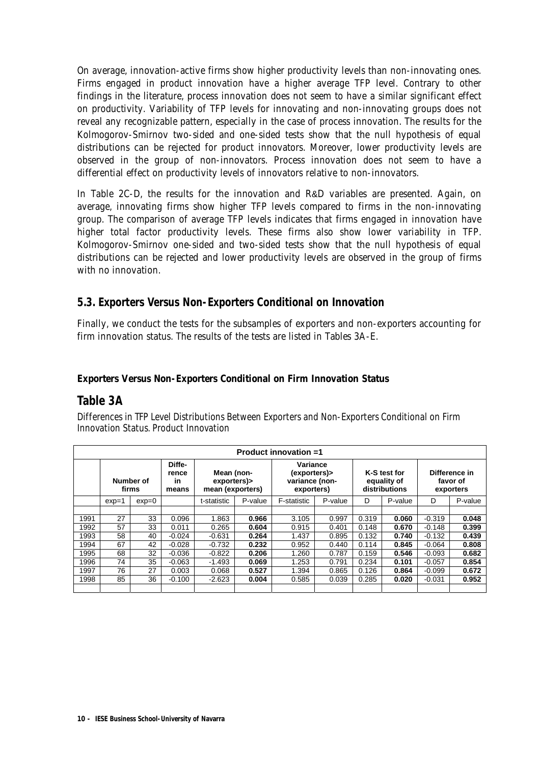On average, innovation-active firms show higher productivity levels than non-innovating ones. Firms engaged in product innovation have a higher average TFP level. Contrary to other findings in the literature, process innovation does not seem to have a similar significant effect on productivity. Variability of TFP levels for innovating and non-innovating groups does not reveal any recognizable pattern, especially in the case of process innovation. The results for the Kolmogorov-Smirnov two-sided and one-sided tests show that the null hypothesis of equal distributions can be rejected for product innovators. Moreover, lower productivity levels are observed in the group of non-innovators. Process innovation does not seem to have a differential effect on productivity levels of innovators relative to non-innovators.

In Table 2C-D, the results for the innovation and R&D variables are presented. Again, on average, innovating firms show higher TFP levels compared to firms in the non-innovating group. The comparison of average TFP levels indicates that firms engaged in innovation have higher total factor productivity levels. These firms also show lower variability in TFP. Kolmogorov-Smirnov one-sided and two-sided tests show that the null hypothesis of equal distributions can be rejected and lower productivity levels are observed in the group of firms with no innovation.

### **5.3. Exporters Versus Non-Exporters Conditional on Innovation**

Finally, we conduct the tests for the subsamples of exporters and non-exporters accounting for firm innovation status. The results of the tests are listed in Tables 3A-E.

#### **Exporters Versus Non-Exporters Conditional on Firm Innovation Status**

### **Table 3A**

Differences in TFP Level Distributions Between Exporters and Non-Exporters Conditional on Firm Innovation Status. Product Innovation

|      |         |                    |                                |                                               |         | Product innovation =1                                    |         |       |                                              |          |                                        |
|------|---------|--------------------|--------------------------------|-----------------------------------------------|---------|----------------------------------------------------------|---------|-------|----------------------------------------------|----------|----------------------------------------|
|      |         | Number of<br>firms | Diffe-<br>rence<br>in<br>means | Mean (non-<br>exporters)><br>mean (exporters) |         | Variance<br>(exporters)><br>variance (non-<br>exporters) |         |       | K-S test for<br>equality of<br>distributions |          | Difference in<br>favor of<br>exporters |
|      | $exp=1$ | $exp=0$            |                                | t-statistic                                   | P-value | F-statistic                                              | P-value | D     | P-value                                      | D        | P-value                                |
|      |         |                    |                                |                                               |         |                                                          |         |       |                                              |          |                                        |
| 1991 | 27      | 33                 | 0.096                          | 1.863                                         | 0.966   | 3.105                                                    | 0.997   | 0.319 | 0.060                                        | $-0.319$ | 0.048                                  |
| 1992 | 57      | 33                 | 0.011                          | 0.265                                         | 0.604   | 0.915                                                    | 0.401   | 0.148 | 0.670                                        | $-0.148$ | 0.399                                  |
| 1993 | 58      | 40                 | $-0.024$                       | $-0.631$                                      | 0.264   | 1.437                                                    | 0.895   | 0.132 | 0.740                                        | $-0.132$ | 0.439                                  |
| 1994 | 67      | 42                 | $-0.028$                       | $-0.732$                                      | 0.232   | 0.952                                                    | 0.440   | 0.114 | 0.845                                        | $-0.064$ | 0.808                                  |
| 1995 | 68      | 32                 | $-0.036$                       | $-0.822$                                      | 0.206   | 1.260                                                    | 0.787   | 0.159 | 0.546                                        | $-0.093$ | 0.682                                  |
| 1996 | 74      | 35                 | $-0.063$                       | $-1.493$                                      | 0.069   | 1.253                                                    | 0.791   | 0.234 | 0.101                                        | $-0.057$ | 0.854                                  |
| 1997 | 76      | 27                 | 0.003                          | 0.068                                         | 0.527   | 1.394                                                    | 0.865   | 0.126 | 0.864                                        | $-0.099$ | 0.672                                  |
| 1998 | 85      | 36                 | $-0.100$                       | $-2.623$                                      | 0.004   | 0.585                                                    | 0.039   | 0.285 | 0.020                                        | $-0.031$ | 0.952                                  |
|      |         |                    |                                |                                               |         |                                                          |         |       |                                              |          |                                        |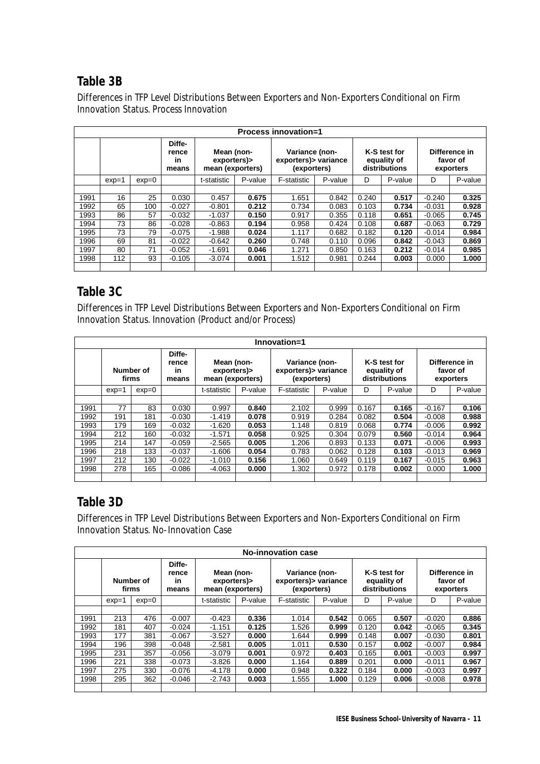### **Table 3B**

Differences in TFP Level Distributions Between Exporters and Non-Exporters Conditional on Firm Innovation Status. Process Innovation

|      |         |         |                                |                                               |         | <b>Process innovation=1</b>                            |         |       |                                              |          |                                        |
|------|---------|---------|--------------------------------|-----------------------------------------------|---------|--------------------------------------------------------|---------|-------|----------------------------------------------|----------|----------------------------------------|
|      |         |         | Diffe-<br>rence<br>in<br>means | Mean (non-<br>exporters)><br>mean (exporters) |         | Variance (non-<br>exporters) > variance<br>(exporters) |         |       | K-S test for<br>equality of<br>distributions |          | Difference in<br>favor of<br>exporters |
|      | $exp=1$ | $exp=0$ |                                | t-statistic                                   | P-value | F-statistic                                            | P-value | D     | P-value                                      | D        | P-value                                |
|      |         |         |                                |                                               |         |                                                        |         |       |                                              |          |                                        |
| 1991 | 16      | 25      | 0.030                          | 0.457                                         | 0.675   | 1.651                                                  | 0.842   | 0.240 | 0.517                                        | $-0.240$ | 0.325                                  |
| 1992 | 65      | 100     | $-0.027$                       | $-0.801$                                      | 0.212   | 0.734                                                  | 0.083   | 0.103 | 0.734                                        | $-0.031$ | 0.928                                  |
| 1993 | 86      | 57      | $-0.032$                       | $-1.037$                                      | 0.150   | 0.917                                                  | 0.355   | 0.118 | 0.651                                        | $-0.065$ | 0.745                                  |
| 1994 | 73      | 86      | $-0.028$                       | $-0.863$                                      | 0.194   | 0.958                                                  | 0.424   | 0.108 | 0.687                                        | $-0.063$ | 0.729                                  |
| 1995 | 73      | 79      | $-0.075$                       | $-1.988$                                      | 0.024   | 1.117                                                  | 0.682   | 0.182 | 0.120                                        | $-0.014$ | 0.984                                  |
| 1996 | 69      | 81      | $-0.022$                       | $-0.642$                                      | 0.260   | 0.748                                                  | 0.110   | 0.096 | 0.842                                        | $-0.043$ | 0.869                                  |
| 1997 | 80      | 71      | $-0.052$                       | $-1.691$                                      | 0.046   | 1.271                                                  | 0.850   | 0.163 | 0.212                                        | $-0.014$ | 0.985                                  |
| 1998 | 112     | 93      | $-0.105$                       | $-3.074$                                      | 0.001   | 1.512                                                  | 0.981   | 0.244 | 0.003                                        | 0.000    | 1.000                                  |
|      |         |         |                                |                                               |         |                                                        |         |       |                                              |          |                                        |

### **Table 3C**

Differences in TFP Level Distributions Between Exporters and Non-Exporters Conditional on Firm Innovation Status. Innovation (Product and/or Process)

|      |         |           |                                |                                               |         | Innovation=1                                           |         |       |                                              |          |                                        |
|------|---------|-----------|--------------------------------|-----------------------------------------------|---------|--------------------------------------------------------|---------|-------|----------------------------------------------|----------|----------------------------------------|
|      | firms   | Number of | Diffe-<br>rence<br>in<br>means | Mean (non-<br>exporters)><br>mean (exporters) |         | Variance (non-<br>exporters) > variance<br>(exporters) |         |       | K-S test for<br>equality of<br>distributions |          | Difference in<br>favor of<br>exporters |
|      | $exp=1$ | $exp=0$   |                                | t-statistic                                   | P-value | F-statistic                                            | P-value | D     | P-value                                      | D        | P-value                                |
|      |         |           |                                |                                               |         |                                                        |         |       |                                              |          |                                        |
| 1991 | 77      | 83        | 0.030                          | 0.997                                         | 0.840   | 2.102                                                  | 0.999   | 0.167 | 0.165                                        | $-0.167$ | 0.106                                  |
| 1992 | 191     | 181       | $-0.030$                       | $-1.419$                                      | 0.078   | 0.919                                                  | 0.284   | 0.082 | 0.504                                        | $-0.008$ | 0.988                                  |
| 1993 | 179     | 169       | $-0.032$                       | $-1.620$                                      | 0.053   | 1.148                                                  | 0.819   | 0.068 | 0.774                                        | $-0.006$ | 0.992                                  |
| 1994 | 212     | 160       | $-0.032$                       | $-1.571$                                      | 0.058   | 0.925                                                  | 0.304   | 0.079 | 0.560                                        | $-0.014$ | 0.964                                  |
| 1995 | 214     | 147       | $-0.059$                       | $-2.565$                                      | 0.005   | 1.206                                                  | 0.893   | 0.133 | 0.071                                        | $-0.006$ | 0.993                                  |
| 1996 | 218     | 133       | $-0.037$                       | $-1.606$                                      | 0.054   | 0.783                                                  | 0.062   | 0.128 | 0.103                                        | $-0.013$ | 0.969                                  |
| 1997 | 212     | 130       | $-0.022$                       | $-1.010$                                      | 0.156   | 1.060                                                  | 0.649   | 0.119 | 0.167                                        | $-0.015$ | 0.963                                  |
| 1998 | 278     | 165       | $-0.086$                       | $-4.063$                                      | 0.000   | 1.302                                                  | 0.972   | 0.178 | 0.002                                        | 0.000    | 1.000                                  |
|      |         |           |                                |                                               |         |                                                        |         |       |                                              |          |                                        |

### **Table 3D**

Differences in TFP Level Distributions Between Exporters and Non-Exporters Conditional on Firm Innovation Status. No-Innovation Case

|      |         |                    |                                |                                               |         | No-innovation case                                     |         |       |                                              |          |                                        |
|------|---------|--------------------|--------------------------------|-----------------------------------------------|---------|--------------------------------------------------------|---------|-------|----------------------------------------------|----------|----------------------------------------|
|      |         | Number of<br>firms | Diffe-<br>rence<br>in<br>means | Mean (non-<br>exporters)><br>mean (exporters) |         | Variance (non-<br>exporters) > variance<br>(exporters) |         |       | K-S test for<br>equality of<br>distributions |          | Difference in<br>favor of<br>exporters |
|      | $exp=1$ | $exp=0$            |                                | t-statistic                                   | P-value | F-statistic                                            | P-value | D     | P-value                                      | D        | P-value                                |
|      |         |                    |                                |                                               |         |                                                        |         |       |                                              |          |                                        |
| 1991 | 213     | 476                | $-0.007$                       | $-0.423$                                      | 0.336   | 1.014                                                  | 0.542   | 0.065 | 0.507                                        | $-0.020$ | 0.886                                  |
| 1992 | 181     | 407                | $-0.024$                       | $-1.151$                                      | 0.125   | 1.526                                                  | 0.999   | 0.120 | 0.042                                        | $-0.065$ | 0.345                                  |
| 1993 | 177     | 381                | $-0.067$                       | $-3.527$                                      | 0.000   | 1.644                                                  | 0.999   | 0.148 | 0.007                                        | $-0.030$ | 0.801                                  |
| 1994 | 196     | 398                | $-0.048$                       | $-2.581$                                      | 0.005   | 1.011                                                  | 0.530   | 0.157 | 0.002                                        | $-0.007$ | 0.984                                  |
| 1995 | 231     | 357                | $-0.056$                       | $-3.079$                                      | 0.001   | 0.972                                                  | 0.403   | 0.165 | 0.001                                        | $-0.003$ | 0.997                                  |
| 1996 | 221     | 338                | $-0.073$                       | $-3.826$                                      | 0.000   | 1.164                                                  | 0.889   | 0.201 | 0.000                                        | $-0.011$ | 0.967                                  |
| 1997 | 275     | 330                | $-0.076$                       | $-4.178$                                      | 0.000   | 0.948                                                  | 0.322   | 0.184 | 0.000                                        | $-0.003$ | 0.997                                  |
| 1998 | 295     | 362                | $-0.046$                       | $-2.743$                                      | 0.003   | 1.555                                                  | 1.000   | 0.129 | 0.006                                        | $-0.008$ | 0.978                                  |
|      |         |                    |                                |                                               |         |                                                        |         |       |                                              |          |                                        |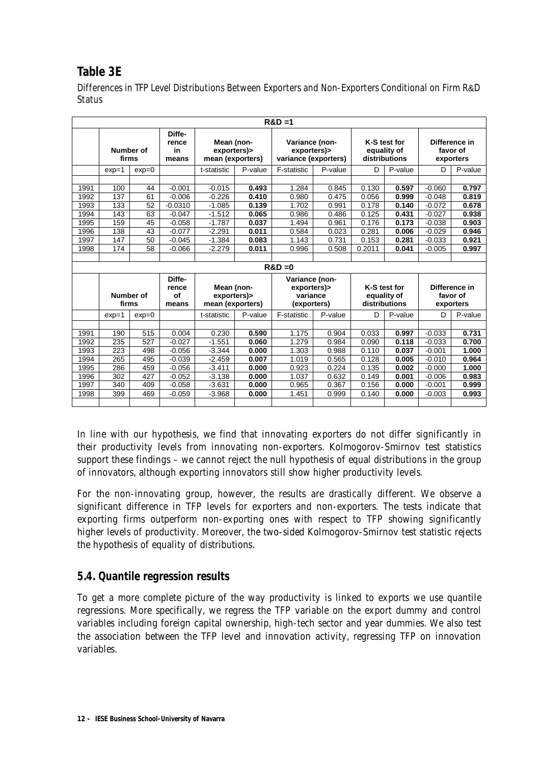# **Table 3E**

Differences in TFP Level Distributions Between Exporters and Non-Exporters Conditional on Firm R&D **Status** 

|      |         |           |                                |                                               |         | $R&D=1$                                               |         |        |                                              |          |                                        |
|------|---------|-----------|--------------------------------|-----------------------------------------------|---------|-------------------------------------------------------|---------|--------|----------------------------------------------|----------|----------------------------------------|
|      | firms   | Number of | Diffe-<br>rence<br>in<br>means | Mean (non-<br>exporters)><br>mean (exporters) |         | Variance (non-<br>exporters)><br>variance (exporters) |         |        | K-S test for<br>equality of<br>distributions |          | Difference in<br>favor of<br>exporters |
|      | $exp=1$ | $exp=0$   |                                | t-statistic                                   | P-value | F-statistic                                           | P-value | D      | P-value                                      | D        | P-value                                |
|      |         |           |                                |                                               |         |                                                       |         |        |                                              |          |                                        |
| 1991 | 100     | 44        | $-0.001$                       | $-0.015$                                      | 0.493   | 1.284                                                 | 0.845   | 0.130  | 0.597                                        | $-0.060$ | 0.797                                  |
| 1992 | 137     | 61        | $-0.006$                       | $-0.226$                                      | 0.410   | 0.980                                                 | 0.475   | 0.056  | 0.999                                        | $-0.048$ | 0.819                                  |
| 1993 | 133     | 52        | $-0.0310$                      | $-1.085$                                      | 0.139   | 1.702                                                 | 0.991   | 0.178  | 0.140                                        | $-0.072$ | 0.678                                  |
| 1994 | 143     | 63        | $-0.047$                       | $-1.512$                                      | 0.065   | 0.986                                                 | 0.486   | 0.125  | 0.431                                        | $-0.027$ | 0.938                                  |
| 1995 | 159     | 45        | $-0.058$                       | $-1.787$                                      | 0.037   | 1.494                                                 | 0.961   | 0.176  | 0.173                                        | $-0.038$ | 0.903                                  |
| 1996 | 138     | 43        | $-0.077$                       | $-2.291$                                      | 0.011   | 0.584                                                 | 0.023   | 0.281  | 0.006                                        | $-0.029$ | 0.946                                  |
| 1997 | 147     | 50        | $-0.045$                       | $-1.384$                                      | 0.083   | 1.143                                                 | 0.731   | 0.153  | 0.281                                        | $-0.033$ | 0.921                                  |
| 1998 | 174     | 58        | $-0.066$                       | $-2.279$                                      | 0.011   | 0.996                                                 | 0.508   | 0.2011 | 0.041                                        | $-0.005$ | 0.997                                  |
|      |         |           |                                |                                               |         |                                                       |         |        |                                              |          |                                        |
|      |         |           |                                |                                               |         | $R&D=0$                                               |         |        |                                              |          |                                        |
|      |         |           | Diffe-<br>rence                | Mean (non-                                    |         | Variance (non-<br>exporters)>                         |         |        | K-S test for                                 |          | Difference in                          |
|      |         | Number of | of                             | exporters)>                                   |         | variance                                              |         |        | equality of                                  |          | favor of                               |
|      | firms   |           | means                          | mean (exporters)                              |         | (exporters)                                           |         |        | distributions                                |          | exporters                              |
|      | $exp=1$ | $exp=0$   |                                | t-statistic                                   | P-value | F-statistic                                           | P-value | D      | P-value                                      | D        | P-value                                |
|      |         |           |                                |                                               |         |                                                       |         |        |                                              |          |                                        |
| 1991 | 190     | 515       | 0.004                          | 0.230                                         | 0.590   | 1.175                                                 | 0.904   | 0.033  | 0.997                                        | $-0.033$ | 0.731                                  |
| 1992 | 235     | 527       | $-0.027$                       | $-1.551$                                      | 0.060   | 1.279                                                 | 0.984   | 0.090  | 0.118                                        | $-0.033$ | 0.700                                  |
|      |         |           |                                |                                               |         |                                                       |         |        |                                              |          |                                        |
| 1993 | 223     | 498       | $-0.056$                       | $-3.344$                                      | 0.000   | 1.303                                                 | 0.988   | 0.110  | 0.037                                        | $-0.001$ | 1.000                                  |
| 1994 | 265     | 495       | $-0.039$                       | $-2.459$                                      | 0.007   | 1.019                                                 | 0.565   | 0.128  | 0.005                                        | $-0.010$ | 0.964                                  |
| 1995 | 286     | 459       | $-0.056$                       | $-3.411$                                      | 0.000   | 0.923                                                 | 0.224   | 0.135  | 0.002                                        | $-0.000$ | 1.000                                  |
| 1996 | 302     | 427       | $-0.052$                       | $-3.138$                                      | 0.000   | 1.037                                                 | 0.632   | 0.149  | 0.001                                        | $-0.006$ | 0.983                                  |
| 1997 | 340     | 409       | $-0.058$                       | $-3.631$                                      | 0.000   | 0.965                                                 | 0.367   | 0.156  | 0.000                                        | $-0.001$ | 0.999                                  |
| 1998 | 399     | 469       | $-0.059$                       | $-3.968$                                      | 0.000   | 1.451                                                 | 0.999   | 0.140  | 0.000                                        | $-0.003$ | 0.993                                  |

In line with our hypothesis, we find that innovating exporters do not differ significantly in their productivity levels from innovating non-exporters. Kolmogorov-Smirnov test statistics support these findings – we cannot reject the null hypothesis of equal distributions in the group of innovators, although exporting innovators still show higher productivity levels.

For the non-innovating group, however, the results are drastically different. We observe a significant difference in TFP levels for exporters and non-exporters. The tests indicate that exporting firms outperform non-exporting ones with respect to TFP showing significantly higher levels of productivity. Moreover, the two-sided Kolmogorov-Smirnov test statistic rejects the hypothesis of equality of distributions.

### **5.4. Quantile regression results**

To get a more complete picture of the way productivity is linked to exports we use quantile regressions. More specifically, we regress the TFP variable on the export dummy and control variables including foreign capital ownership, high-tech sector and year dummies. We also test the association between the TFP level and innovation activity, regressing TFP on innovation variables.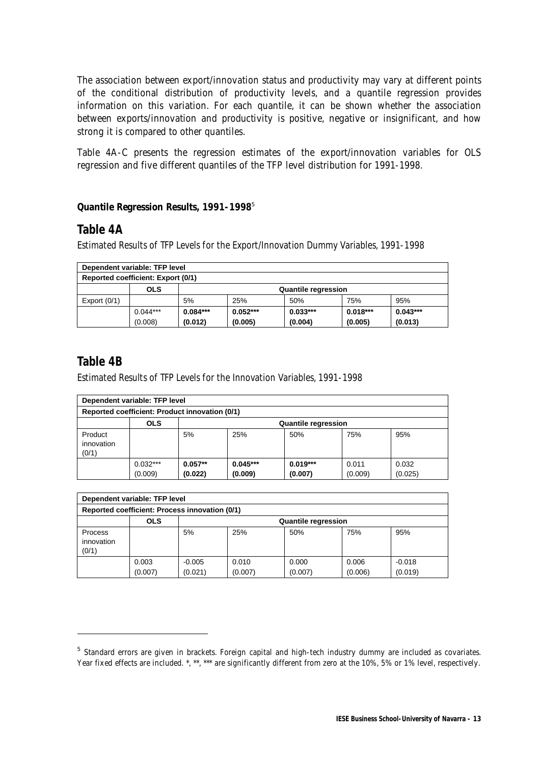The association between export/innovation status and productivity may vary at different points of the conditional distribution of productivity levels, and a quantile regression provides information on this variation. For each quantile, it can be shown whether the association between exports/innovation and productivity is positive, negative or insignificant, and how strong it is compared to other quantiles.

Table 4A-C presents the regression estimates of the export/innovation variables for OLS regression and five different quantiles of the TFP level distribution for 1991-1998.

#### **Quantile Regression Results, 1991-1998**<sup>5</sup>

### **Table 4A**

Estimated Results of TFP Levels for the Export/Innovation Dummy Variables, 1991-1998

|                                          | Dependent variable: TFP level                                  |            |            |            |            |            |  |  |  |  |
|------------------------------------------|----------------------------------------------------------------|------------|------------|------------|------------|------------|--|--|--|--|
|                                          | Reported coefficient: Export (0/1)                             |            |            |            |            |            |  |  |  |  |
| <b>OLS</b><br><b>Quantile regression</b> |                                                                |            |            |            |            |            |  |  |  |  |
| Export $(0/1)$                           |                                                                | 5%         | 25%        | 50%        | 75%        | 95%        |  |  |  |  |
|                                          | $0.044***$                                                     | $0.084***$ | $0.052***$ | $0.033***$ | $0.018***$ | $0.043***$ |  |  |  |  |
|                                          | (0.013)<br>(0.005)<br>(0.012)<br>(0.005)<br>(0.004)<br>(0.008) |            |            |            |            |            |  |  |  |  |

### **Table 4B**

j

Estimated Results of TFP Levels for the Innovation Variables, 1991-1998

|                                | Dependent variable: TFP level                  |                      |                       |                            |                  |                  |
|--------------------------------|------------------------------------------------|----------------------|-----------------------|----------------------------|------------------|------------------|
|                                | Reported coefficient: Product innovation (0/1) |                      |                       |                            |                  |                  |
|                                | <b>OLS</b>                                     |                      |                       | <b>Quantile regression</b> |                  |                  |
| Product<br>innovation<br>(0/1) |                                                | 5%                   | 25%                   | 50%                        | 75%              | 95%              |
|                                | $0.032***$<br>(0.009)                          | $0.057**$<br>(0.022) | $0.045***$<br>(0.009) | $0.019***$<br>(0.007)      | 0.011<br>(0.009) | 0.032<br>(0.025) |

| Dependent variable: TFP level  |                                                |                     |                  |                            |                  |                     |
|--------------------------------|------------------------------------------------|---------------------|------------------|----------------------------|------------------|---------------------|
|                                | Reported coefficient: Process innovation (0/1) |                     |                  |                            |                  |                     |
|                                | <b>OLS</b>                                     |                     |                  | <b>Quantile regression</b> |                  |                     |
| Process<br>innovation<br>(0/1) |                                                | 5%                  | 25%              | 50%                        | 75%              | 95%                 |
|                                | 0.003<br>(0.007)                               | $-0.005$<br>(0.021) | 0.010<br>(0.007) | 0.000<br>(0.007)           | 0.006<br>(0.006) | $-0.018$<br>(0.019) |

<sup>&</sup>lt;sup>5</sup> Standard errors are given in brackets. Foreign capital and high-tech industry dummy are included as covariates. Year fixed effects are included. \*, \*\*, \*\*\* are significantly different from zero at the 10%, 5% or 1% level, respectively.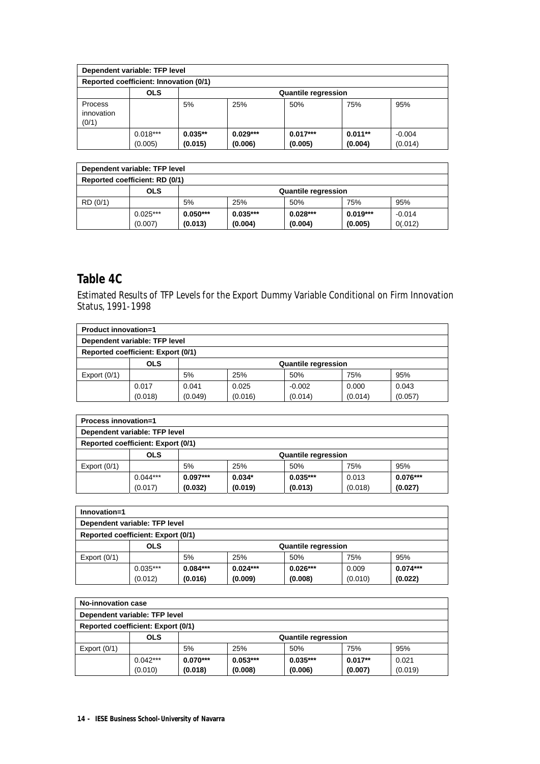| Dependent variable: TFP level  |                                        |           |            |                            |           |          |
|--------------------------------|----------------------------------------|-----------|------------|----------------------------|-----------|----------|
|                                | Reported coefficient: Innovation (0/1) |           |            |                            |           |          |
|                                | <b>OLS</b>                             |           |            | <b>Quantile regression</b> |           |          |
| Process<br>innovation<br>(0/1) |                                        | 5%        | 25%        | 50%                        | 75%       | 95%      |
|                                | $0.018***$                             | $0.035**$ | $0.029***$ | $0.017***$                 | $0.011**$ | $-0.004$ |
|                                | (0.005)                                | (0.015)   | (0.006)    | (0.005)                    | (0.004)   | (0.014)  |

| Dependent variable: TFP level  |            |            |                            |            |            |          |
|--------------------------------|------------|------------|----------------------------|------------|------------|----------|
| Reported coefficient: RD (0/1) |            |            |                            |            |            |          |
|                                | OLS        |            | <b>Quantile regression</b> |            |            |          |
| RD (0/1)                       |            | 5%         | 25%                        | 50%        | 75%        | 95%      |
|                                | $0.025***$ | $0.050***$ | $0.035***$                 | $0.028***$ | $0.019***$ | $-0.014$ |
|                                | (0.007)    | (0.013)    | (0.004)                    | (0.004)    | (0.005)    | 0(.012)  |

### **Table 4C**

Estimated Results of TFP Levels for the Export Dummy Variable Conditional on Firm Innovation Status, 1991-1998

| <b>Product innovation=1</b> |                                           |         |                            |          |         |         |
|-----------------------------|-------------------------------------------|---------|----------------------------|----------|---------|---------|
|                             | Dependent variable: TFP level             |         |                            |          |         |         |
|                             | <b>Reported coefficient: Export (0/1)</b> |         |                            |          |         |         |
|                             | <b>OLS</b>                                |         | <b>Quantile regression</b> |          |         |         |
| Export $(0/1)$              |                                           | 5%      | 25%                        | 50%      | 75%     | 95%     |
|                             | 0.017                                     | 0.041   | 0.025                      | $-0.002$ | 0.000   | 0.043   |
|                             | (0.018)                                   | (0.049) | (0.016)                    | (0.014)  | (0.014) | (0.057) |

| <b>Process innovation=1</b>               |                               |            |                            |            |         |            |  |
|-------------------------------------------|-------------------------------|------------|----------------------------|------------|---------|------------|--|
|                                           | Dependent variable: TFP level |            |                            |            |         |            |  |
| <b>Reported coefficient: Export (0/1)</b> |                               |            |                            |            |         |            |  |
|                                           | <b>OLS</b>                    |            | <b>Quantile regression</b> |            |         |            |  |
| Export $(0/1)$                            |                               | 5%         | 25%                        | 50%        | 75%     | 95%        |  |
|                                           | $0.044***$                    | $0.097***$ | $0.034*$                   | $0.035***$ | 0.013   | $0.076***$ |  |
|                                           | (0.017)                       | (0.032)    | (0.019)                    | (0.013)    | (0.018) | (0.027)    |  |

| Innovation=1                       |            |            |                            |            |         |            |  |
|------------------------------------|------------|------------|----------------------------|------------|---------|------------|--|
| Dependent variable: TFP level      |            |            |                            |            |         |            |  |
| Reported coefficient: Export (0/1) |            |            |                            |            |         |            |  |
|                                    | <b>OLS</b> |            | <b>Quantile regression</b> |            |         |            |  |
| Export $(0/1)$                     |            | 5%         | 25%                        | 50%        | 75%     | 95%        |  |
|                                    | $0.035***$ | $0.084***$ | $0.024***$                 | $0.026***$ | 0.009   | $0.074***$ |  |
|                                    | (0.012)    | (0.016)    | (0.009)                    | (0.008)    | (0.010) | (0.022)    |  |

| No-innovation case                        |            |            |                            |            |           |         |
|-------------------------------------------|------------|------------|----------------------------|------------|-----------|---------|
| Dependent variable: TFP level             |            |            |                            |            |           |         |
| <b>Reported coefficient: Export (0/1)</b> |            |            |                            |            |           |         |
|                                           | <b>OLS</b> |            | <b>Quantile regression</b> |            |           |         |
| Export $(0/1)$                            |            | 5%         | 25%                        | 50%        | 75%       | 95%     |
|                                           | $0.042***$ | $0.070***$ | $0.053***$                 | $0.035***$ | $0.017**$ | 0.021   |
|                                           | (0.010)    | (0.018)    | (0.008)                    | (0.006)    | (0.007)   | (0.019) |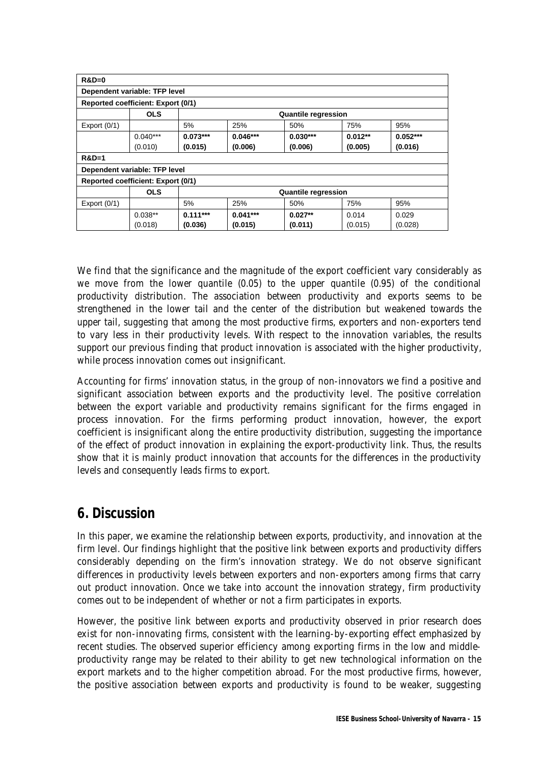| $R&D=0$                            |                               |            |            |                            |           |            |  |  |
|------------------------------------|-------------------------------|------------|------------|----------------------------|-----------|------------|--|--|
|                                    | Dependent variable: TFP level |            |            |                            |           |            |  |  |
| Reported coefficient: Export (0/1) |                               |            |            |                            |           |            |  |  |
|                                    | <b>OLS</b>                    |            |            | <b>Quantile regression</b> |           |            |  |  |
| Export $(0/1)$                     |                               | 5%         | 25%        | 50%                        | 75%       | 95%        |  |  |
|                                    | $0.040***$                    | $0.073***$ | $0.046***$ | $0.030***$                 | $0.012**$ | $0.052***$ |  |  |
|                                    | (0.010)                       | (0.015)    | (0.006)    | (0.006)                    | (0.005)   | (0.016)    |  |  |
| $R&D=1$                            |                               |            |            |                            |           |            |  |  |
| Dependent variable: TFP level      |                               |            |            |                            |           |            |  |  |
| Reported coefficient: Export (0/1) |                               |            |            |                            |           |            |  |  |
|                                    | <b>OLS</b>                    |            |            | <b>Quantile regression</b> |           |            |  |  |
| Export $(0/1)$                     |                               | 5%         | 25%        | 50%                        | 75%       | 95%        |  |  |
|                                    | $0.038**$                     | $0.111***$ | $0.041***$ | $0.027**$                  | 0.014     | 0.029      |  |  |
|                                    | (0.018)                       | (0.036)    | (0.015)    | (0.011)                    | (0.015)   | (0.028)    |  |  |

We find that the significance and the magnitude of the export coefficient vary considerably as we move from the lower quantile (0.05) to the upper quantile (0.95) of the conditional productivity distribution. The association between productivity and exports seems to be strengthened in the lower tail and the center of the distribution but weakened towards the upper tail, suggesting that among the most productive firms, exporters and non-exporters tend to vary less in their productivity levels. With respect to the innovation variables, the results support our previous finding that product innovation is associated with the higher productivity, while process innovation comes out insignificant.

Accounting for firms' innovation status, in the group of non-innovators we find a positive and significant association between exports and the productivity level. The positive correlation between the export variable and productivity remains significant for the firms engaged in process innovation. For the firms performing product innovation, however, the export coefficient is insignificant along the entire productivity distribution, suggesting the importance of the effect of product innovation in explaining the export-productivity link. Thus, the results show that it is mainly product innovation that accounts for the differences in the productivity levels and consequently leads firms to export.

# **6. Discussion**

In this paper, we examine the relationship between exports, productivity, and innovation at the firm level. Our findings highlight that the positive link between exports and productivity differs considerably depending on the firm's innovation strategy. We do not observe significant differences in productivity levels between exporters and non-exporters among firms that carry out product innovation. Once we take into account the innovation strategy, firm productivity comes out to be independent of whether or not a firm participates in exports.

However, the positive link between exports and productivity observed in prior research does exist for non-innovating firms, consistent with the learning-by-exporting effect emphasized by recent studies. The observed superior efficiency among exporting firms in the low and middleproductivity range may be related to their ability to get new technological information on the export markets and to the higher competition abroad. For the most productive firms, however, the positive association between exports and productivity is found to be weaker, suggesting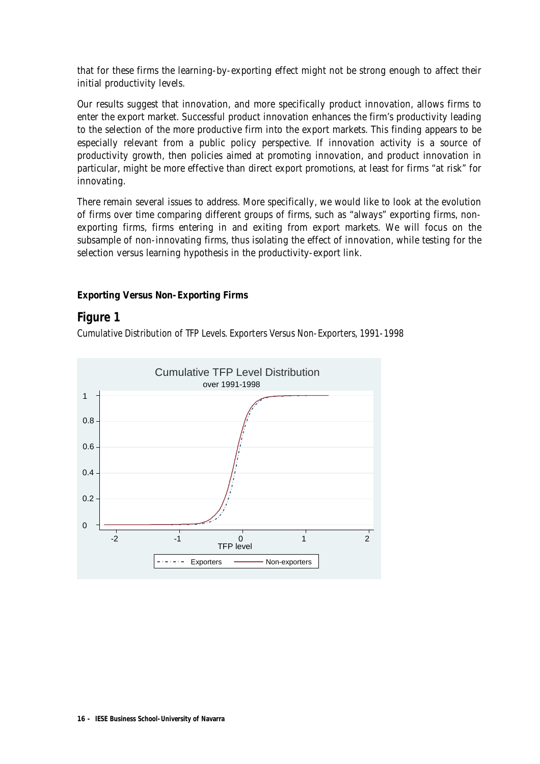that for these firms the learning-by-exporting effect might not be strong enough to affect their initial productivity levels.

Our results suggest that innovation, and more specifically product innovation, allows firms to enter the export market. Successful product innovation enhances the firm's productivity leading to the selection of the more productive firm into the export markets. This finding appears to be especially relevant from a public policy perspective. If innovation activity is a source of productivity growth, then policies aimed at promoting innovation, and product innovation in particular, might be more effective than direct export promotions, at least for firms "at risk" for innovating.

There remain several issues to address. More specifically, we would like to look at the evolution of firms over time comparing different groups of firms, such as "always" exporting firms, nonexporting firms, firms entering in and exiting from export markets. We will focus on the subsample of non-innovating firms, thus isolating the effect of innovation, while testing for the selection versus learning hypothesis in the productivity-export link.

#### **Exporting Versus Non-Exporting Firms**

### **Figure 1**

Cumulative Distribution of TFP Levels. Exporters Versus Non-Exporters, 1991-1998

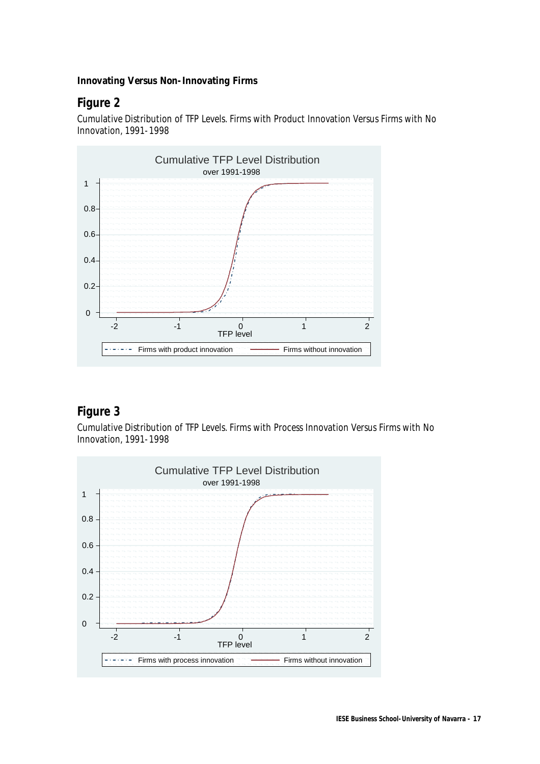#### **Innovating Versus Non-Innovating Firms**

### **Figure 2**

Cumulative Distribution of TFP Levels. Firms with Product Innovation Versus Firms with No Innovation, 1991-1998



### **Figure 3**

Cumulative Distribution of TFP Levels. Firms with Process Innovation Versus Firms with No Innovation, 1991-1998

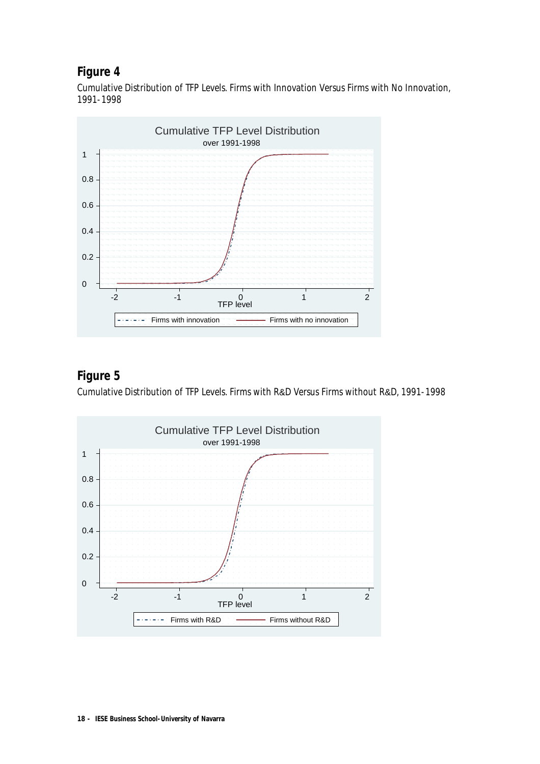### **Figure 4**

Cumulative Distribution of TFP Levels. Firms with Innovation Versus Firms with No Innovation, 1991-1998



## **Figure 5**

Cumulative Distribution of TFP Levels. Firms with R&D Versus Firms without R&D, 1991-1998

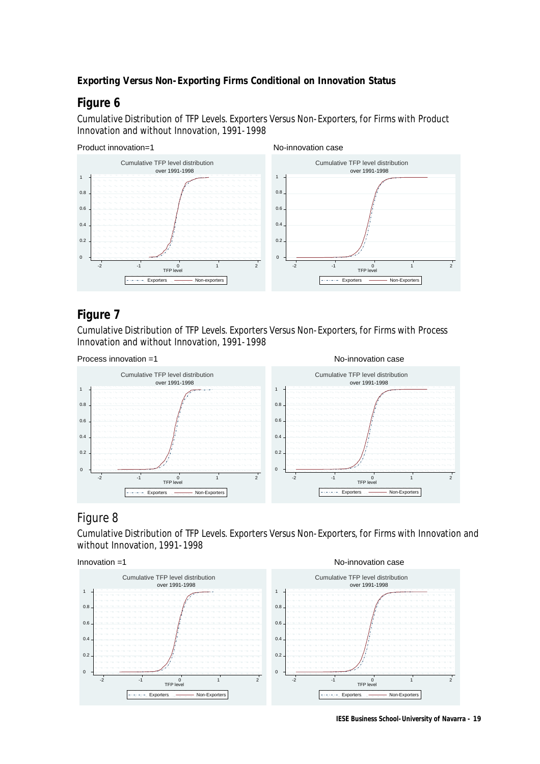### **Exporting Versus Non-Exporting Firms Conditional on Innovation Status**

## **Figure 6**

Cumulative Distribution of TFP Levels. Exporters Versus Non-Exporters, for Firms with Product Innovation and without Innovation, 1991-1998



### **Figure 7**

Cumulative Distribution of TFP Levels. Exporters Versus Non-Exporters, for Firms with Process Innovation and without Innovation, 1991-1998



### Figure 8

Cumulative Distribution of TFP Levels. Exporters Versus Non-Exporters, for Firms with Innovation and without Innovation, 1991-1998



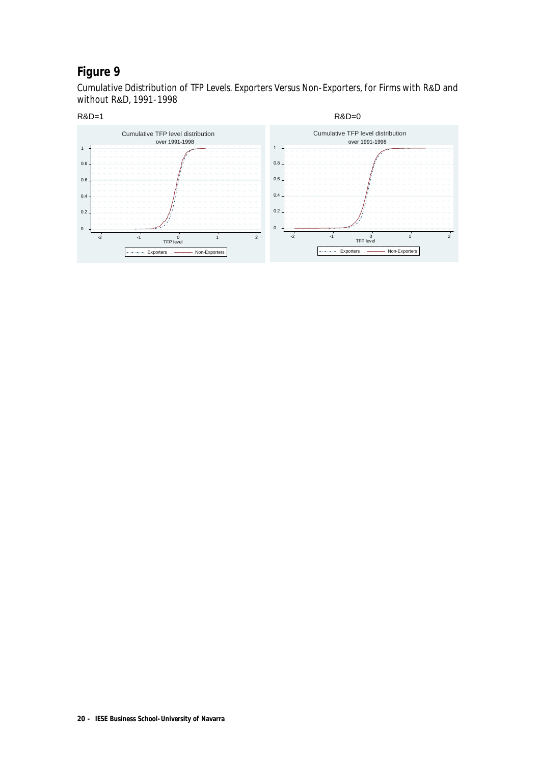# **Figure 9**

Cumulative Ddistribution of TFP Levels. Exporters Versus Non-Exporters, for Firms with R&D and without R&D, 1991-1998

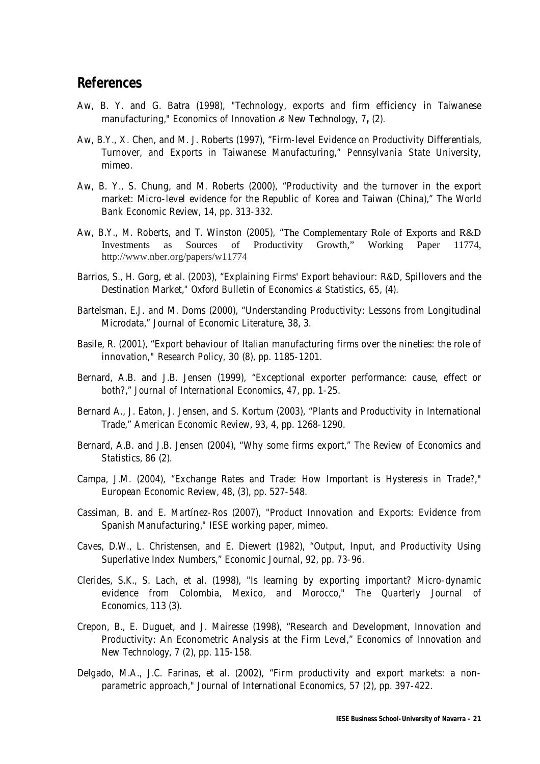### **References**

- Aw, B. Y. and G. Batra (1998), "Technology, exports and firm efficiency in Taiwanese manufacturing," *Economics of Innovation & New Technology,* 7**,** (2).
- Aw, B.Y., X. Chen, and M. J. Roberts (1997), "Firm-level Evidence on Productivity Differentials, Turnover, and Exports in Taiwanese Manufacturing," *Pennsylvania State University,*  mimeo.
- Aw, B. Y., S. Chung, and M. Roberts (2000), "Productivity and the turnover in the export market: Micro-level evidence for the Republic of Korea and Taiwan (China)," *The World Bank Economic Review*, 14, pp. 313-332.
- Aw, B.Y., M. Roberts, and T. Winston (2005), "The Complementary Role of Exports and R&D Investments as Sources of Productivity Growth," Working Paper 11774*,*  http://www.nber.org/papers/w11774
- Barrios, S., H. Gorg, et al. (2003), "Explaining Firms' Export behaviour: R&D, Spillovers and the Destination Market," *Oxford Bulletin of Economics & Statistics,* 65, (4).
- Bartelsman, E.J. and M. Doms (2000), "Understanding Productivity: Lessons from Longitudinal Microdata," *Journal of Economic Literature*, 38, 3.
- Basile, R. (2001), "Export behaviour of Italian manufacturing firms over the nineties: the role of innovation*," Research Policy,* 30 (8), pp. 1185-1201.
- Bernard, A.B. and J.B. Jensen (1999), "Exceptional exporter performance: cause, effect or both?," *Journal of International Economics*, 47, pp. 1-25.
- Bernard A., J. Eaton, J. Jensen, and S. Kortum (2003), "Plants and Productivity in International Trade," *American Economic Review*, 93, 4, pp. 1268-1290.
- Bernard, A.B. and J.B. Jensen (2004), "Why some firms export," *The Review of Economics and Statistics*, 86 (2).
- Campa, J.M. (2004), "Exchange Rates and Trade: How Important is Hysteresis in Trade?," *European Economic Review*, 48, (3), pp. 527-548.
- Cassiman, B. and E. Martínez-Ros (2007), "Product Innovation and Exports: Evidence from Spanish Manufacturing," IESE working paper, mimeo.
- Caves, D.W., L. Christensen, and E. Diewert (1982), "Output, Input, and Productivity Using Superlative Index Numbers," Economic Journal, 92, pp. 73-96.
- Clerides, S.K., S. Lach, et al. (1998), "Is learning by exporting important? Micro-dynamic evidence from Colombia, Mexico, and Morocco," *The Quarterly Journal of Economics*, 113 (3).
- Crepon, B., E. Duguet, and J. Mairesse (1998), "Research and Development, Innovation and Productivity: An Econometric Analysis at the Firm Level," *Economics of Innovation and New Technology*, 7 (2), pp. 115-158.
- Delgado, M.A., J.C. Farinas, et al. (2002), "Firm productivity and export markets: a nonparametric approach," *Journal of International Economics,* 57 (2), pp. 397-422.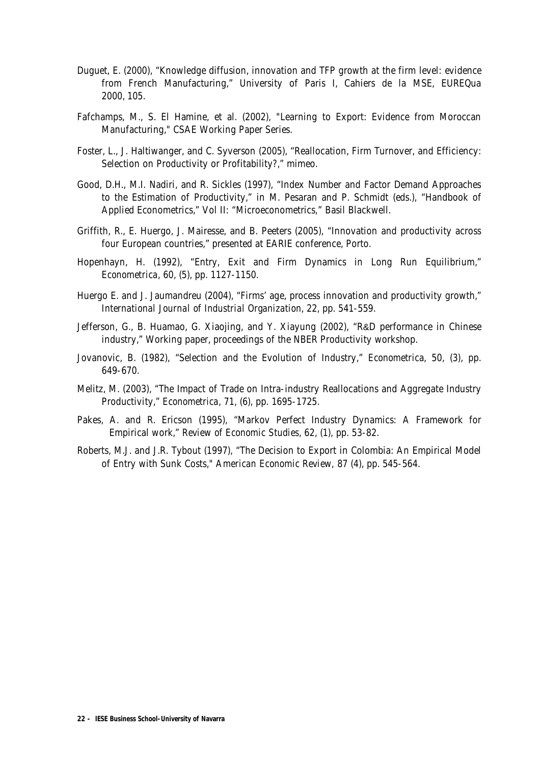- Duguet, E. (2000), "Knowledge diffusion, innovation and TFP growth at the firm level: evidence from French Manufacturing," University of Paris I, Cahiers de la MSE, EUREQua 2000, 105.
- Fafchamps, M., S. El Hamine, et al. (2002), "Learning to Export: Evidence from Moroccan Manufacturing," CSAE Working Paper Series.
- Foster, L., J. Haltiwanger, and C. Syverson (2005), "Reallocation, Firm Turnover, and Efficiency: Selection on Productivity or Profitability?," mimeo.
- Good, D.H., M.I. Nadiri, and R. Sickles (1997), "Index Number and Factor Demand Approaches to the Estimation of Productivity," in M. Pesaran and P. Schmidt (eds.), "Handbook of Applied Econometrics," Vol II: "Microeconometrics*,*" Basil Blackwell.
- Griffith, R., E. Huergo, J. Mairesse, and B. Peeters (2005), "Innovation and productivity across four European countries," presented at EARIE conference, Porto.
- Hopenhayn, H. (1992), "Entry, Exit and Firm Dynamics in Long Run Equilibrium," *Econometrica*, 60, (5), pp. 1127-1150.
- Huergo E. and J. Jaumandreu (2004), "Firms' age, process innovation and productivity growth," *International Journal of Industrial Organization*, 22, pp. 541-559.
- Jefferson, G., B. Huamao, G. Xiaojing, and Y. Xiayung (2002), "R&D performance in Chinese industry," Working paper, proceedings of the NBER Productivity workshop.
- Jovanovic, B. (1982), "Selection and the Evolution of Industry," *Econometric*a, 50, (3), pp. 649-670.
- Melitz, M. (2003), "The Impact of Trade on Intra-industry Reallocations and Aggregate Industry Productivity," *Econometrica*, 71, (6), pp. 1695-1725.
- Pakes, A. and R. Ericson (1995), "Markov Perfect Industry Dynamics: A Framework for Empirical work," *Review of Economic Studies*, 62, (1), pp. 53-82.
- Roberts, M.J. and J.R. Tybout (1997), "The Decision to Export in Colombia: An Empirical Model of Entry with Sunk Costs," *American Economic Review,* 87 (4), pp. 545-564.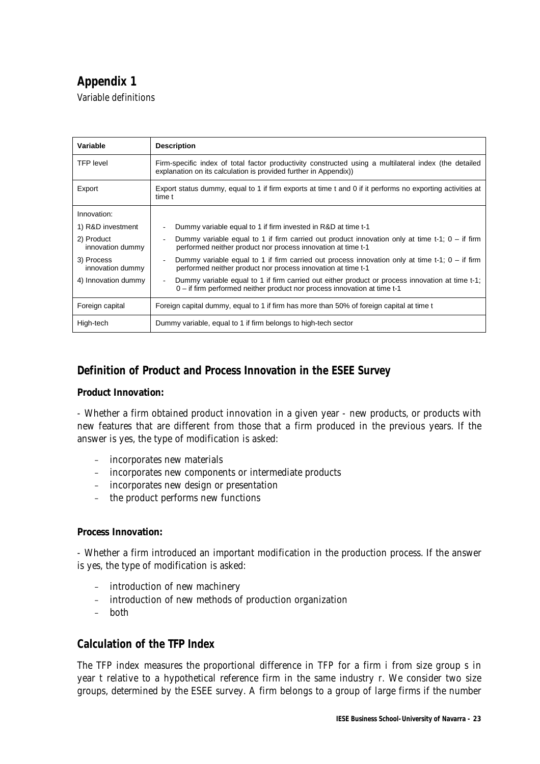# **Appendix 1**

Variable definitions

| Variable                       | <b>Description</b>                                                                                                                                                                               |
|--------------------------------|--------------------------------------------------------------------------------------------------------------------------------------------------------------------------------------------------|
| <b>TFP</b> level               | Firm-specific index of total factor productivity constructed using a multilateral index (the detailed<br>explanation on its calculation is provided further in Appendix))                        |
| Export                         | Export status dummy, equal to 1 if firm exports at time t and 0 if it performs no exporting activities at<br>time t                                                                              |
| Innovation:                    |                                                                                                                                                                                                  |
| 1) R&D investment              | Dummy variable equal to 1 if firm invested in R&D at time t-1                                                                                                                                    |
| 2) Product<br>innovation dummy | Dummy variable equal to 1 if firm carried out product innovation only at time t-1; $0 -$ if firm<br>performed neither product nor process innovation at time t-1                                 |
| 3) Process<br>innovation dummy | Dummy variable equal to 1 if firm carried out process innovation only at time t-1; $0 -$ if firm<br>$\qquad \qquad \blacksquare$<br>performed neither product nor process innovation at time t-1 |
| 4) Innovation dummy            | Dummy variable equal to 1 if firm carried out either product or process innovation at time t-1;<br>$\overline{a}$<br>0 – if firm performed neither product nor process innovation at time t-1    |
| Foreign capital                | Foreign capital dummy, equal to 1 if firm has more than 50% of foreign capital at time t                                                                                                         |
| High-tech                      | Dummy variable, equal to 1 if firm belongs to high-tech sector                                                                                                                                   |

### **Definition of Product and Process Innovation in the ESEE Survey**

#### **Product Innovation:**

- Whether a firm obtained product innovation in a given year - new products, or products with new features that are different from those that a firm produced in the previous years. If the answer is yes, the type of modification is asked:

- incorporates new materials
- incorporates new components or intermediate products
- incorporates new design or presentation
- the product performs new functions

#### **Process Innovation:**

- Whether a firm introduced an important modification in the production process. If the answer is yes, the type of modification is asked:

- introduction of new machinery
- introduction of new methods of production organization
- both

### **Calculation of the TFP Index**

The TFP index measures the proportional difference in *TFP* for a firm *i* from size group *s* in year *t* relative to a hypothetical reference firm in the same industry *r*. We consider two size groups, determined by the ESEE survey. A firm belongs to a group of large firms if the number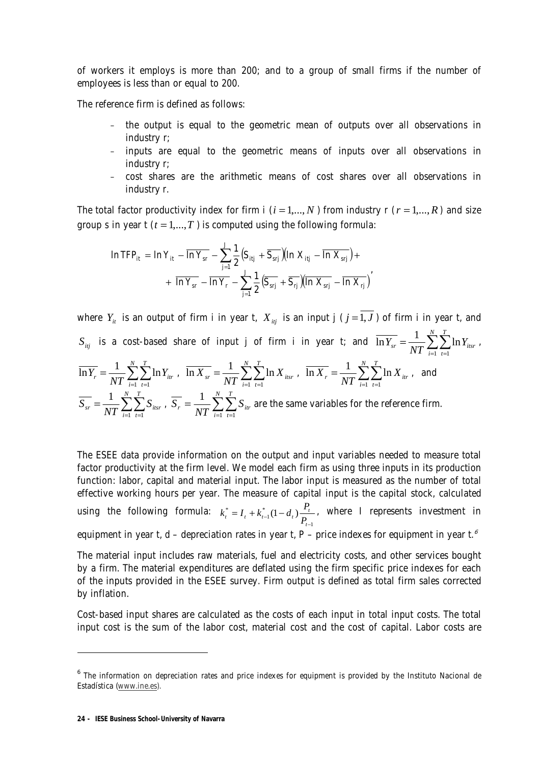of workers it employs is more than 200; and to a group of small firms if the number of employees is less than or equal to 200.

The reference firm is defined as follows:

- the output is equal to the geometric mean of outputs over all observations in industry *r*;
- inputs are equal to the geometric means of inputs over all observations in industry *r*;
- cost shares are the arithmetic means of cost shares over all observations in industry *r*.

The total factor productivity index for firm  $i$  ( $i = 1,..., N$ ) from industry  $r$  ( $r = 1,..., R$ ) and size group *s* in year  $t$  ( $t = 1,...,T$ ) is computed using the following formula:

$$
\ln \mathit{TFP}_{it} = \ln Y_{it} - \overline{\ln Y_{sr}} - \sum_{j=1}^{J} \frac{1}{2} \Big( S_{ijj} + \overline{S_{sjj}} \Big) \Big( \ln X_{ijj} - \overline{\ln X_{sjj}} \Big) + \\ + \overline{\ln Y_{sr}} - \overline{\ln Y_{r}} - \sum_{j=1}^{J} \frac{1}{2} \Big( \overline{S_{sjj}} + \overline{S_{rj}} \Big) \Big( \overline{\ln X_{sjj}} - \overline{\ln X_{rj}} \Big)'
$$

where  $Y_i$  is an output of firm *i* in year *t*,  $X_{ij}$  is an input  $j$  ( $j = \overline{1, J}$ ) of firm *i* in year *t*, and  $S_{ij}$  is a cost-based share of input *j* of firm *i* in year *t*; and  $\overline{\ln Y_{sr}} = \frac{1}{NT} \sum_{i=1}^{T} \sum_{t=1}^{T} \sum_{t=1}^{T}$ = *N i T*  $Y_{sr} = \frac{1}{NT} \sum_{i=1}^{T} \sum_{t=1}^{T} \ln Y_{itsr}$  $-1$   $t=1$  $\overline{\ln Y_{sr}} = \frac{1}{\sqrt{1 - \sum_{r}}}\sum_{r}^{N} \ln Y_{itsr}$  $\sum_{i=1}$   $\sum_{t=1}$ = *N i T*  $Y_r = \frac{1}{NT} \sum_{i=1}^{r} \sum_{t=1}^{r} \ln Y_{itr}$  $\overline{\ln Y_r} = \frac{1}{NT} \sum_{i=1}^{N} \sum_{t=1}^{T} \ln Y_{ir}$ ,  $\overline{\ln X_{sr}} = \frac{1}{NT} \sum_{i=1}^{N} \sum_{t=1}^{T}$ = *N i T*  $X_{sr} = \frac{1}{NT} \sum_{i=1}^{T} \sum_{t=1}^{T} \ln X_{itsr}$  $\overline{\ln X_{sr}} = \frac{1}{NT} \sum_{i=1}^{N} \sum_{r=1}^{T} \ln X_{i_{tsr}}$ ,  $\overline{\ln X_r} = \frac{1}{NT} \sum_{i=1}^{N} \sum_{r=1}^{T}$ = *N i T*  $X_r = \frac{1}{NT} \sum_{i=1}^{r} \sum_{t=1}^{r} \ln X_{itr}$  $-1$   $t=1$  $\overline{\ln X}_r = \frac{1}{\sqrt{n}} \sum_{r}^{N} \sum_{r}^{T} \ln X_{ir}$ , and  $\sum_{i=1}$   $\sum_{t=1}$ = *N i T*  $S_{sr} = \frac{1}{NT} \sum_{i=1}^{T} \sum_{t=1}^{T} S_{itsr}$  $\frac{1}{\sqrt{1}}\sum_{i=1}^{N}\sum_{r=1}^{T}S_{i\text{tsr}}$  ,  $\overline{S_{r}}=\frac{1}{NT}\sum_{i=1}^{N}\sum_{r=1}^{T}$ = *N i T*  $S_r = \frac{1}{NT} \sum_{i=1}^{T} \sum_{t=1}^{T} S_{itr}$  $-1$   $t=1$  $\frac{1}{2} \sum_{i=1}^{N} \sum_{i=1}^{T} S_{ir}$  are the same variables for the reference firm.

The ESEE data provide information on the output and input variables needed to measure total factor productivity at the firm level. We model each firm as using three inputs in its production function: labor, capital and material input. The labor input is measured as the number of total effective working hours per year. The measure of capital input is the capital stock, calculated using the following formula: 1  $t_t^* = I_t + k_{t-1}^*(1 - d_t)$ −  $= I_t + k_{t-1}^* (1$ *t*  $t_t^* = I_t + k_{t-1}^*(1 - d_t) \frac{I_t}{P_{t-1}}$  $k_t^* = I_t + k_{t-1}^*(1-d_t) \frac{P_t}{R_t}$ , where *I* represents investment in equipment in year  $t$ ,  $d$  – depreciation rates in year  $t$ ,  $P$  – price indexes for equipment in year  $t$ <sup>6</sup>

The material input includes raw materials, fuel and electricity costs, and other services bought by a firm. The material expenditures are deflated using the firm specific price indexes for each of the inputs provided in the ESEE survey. Firm output is defined as total firm sales corrected by inflation.

Cost-based input shares are calculated as the costs of each input in total input costs. The total input cost is the sum of the labor cost, material cost and the cost of capital. Labor costs are

 $\overline{a}$ 

<sup>&</sup>lt;sup>6</sup> The information on depreciation rates and price indexes for equipment is provided by the Instituto Nacional de Estadística (www.ine.es).